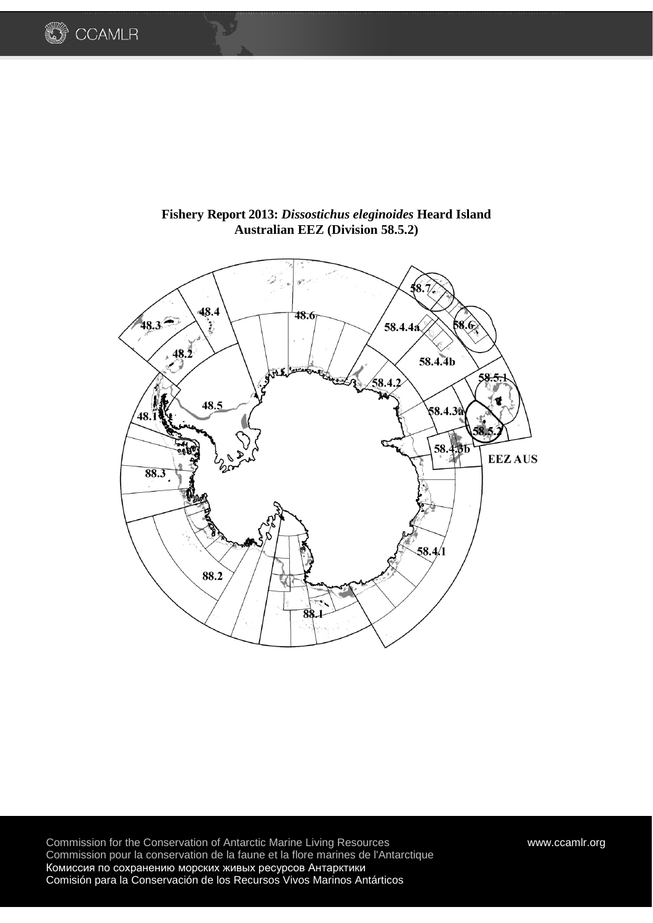



**Fishery Report 2013:** *Dissostichus eleginoides* **Heard Island Australian EEZ (Division 58.5.2)**

Commission for the Conservation of Antarctic Marine Living Resources [www.ccamlr.org](http://www.ccamlr.org/) Commission pour la conservation de la faune et la flore marines de l'Antarctique Комиссия по сохранению морских живых ресурсов Антарктики Comisión para la Conservación de los Recursos Vivos Marinos Antárticos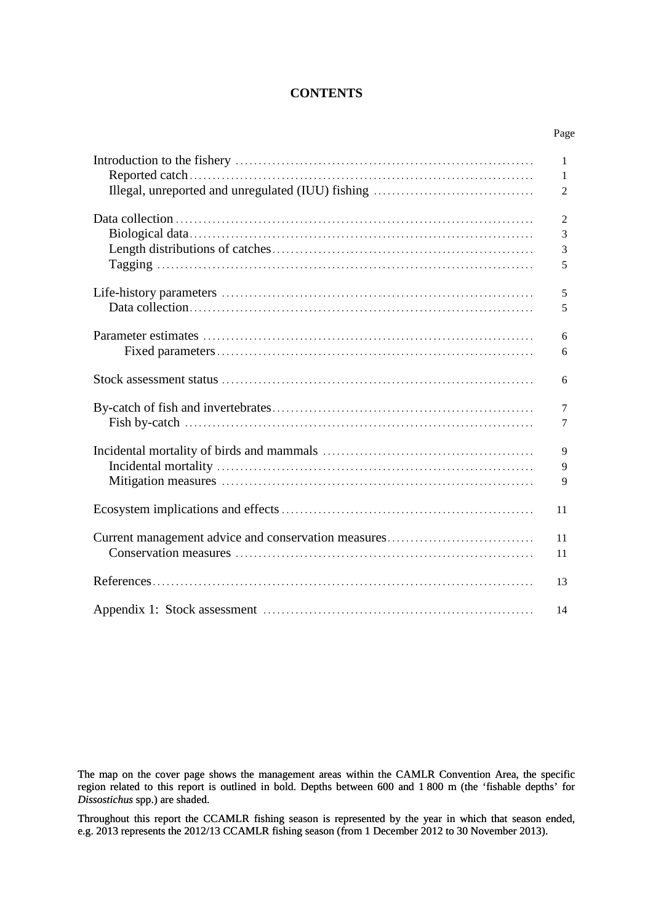## **CONTENTS**

Page

|                                                     | $\mathbf{1}$   |
|-----------------------------------------------------|----------------|
|                                                     | 1              |
|                                                     | $\overline{c}$ |
|                                                     | $\overline{2}$ |
|                                                     | 3              |
|                                                     | 3              |
|                                                     | 5              |
|                                                     | 5              |
|                                                     | 5              |
|                                                     | 6              |
|                                                     | 6              |
|                                                     | 6              |
|                                                     | $\overline{7}$ |
|                                                     | $\tau$         |
|                                                     | 9              |
|                                                     | 9              |
|                                                     | 9              |
|                                                     | 11             |
| Current management advice and conservation measures | 11             |
|                                                     | 11             |
|                                                     | 13             |
|                                                     | 14             |

The map on the cover page shows the management areas within the CAMLR Convention Area, the specific region related to this report is outlined in bold. Depths between 600 and 1 800 m (the 'fishable depths' for *Dissostichus* spp.) are shaded.

Throughout this report the CCAMLR fishing season is represented by the year in which that season ended, e.g. 2013 represents the 2012/13 CCAMLR fishing season (from 1 December 2012 to 30 November 2013).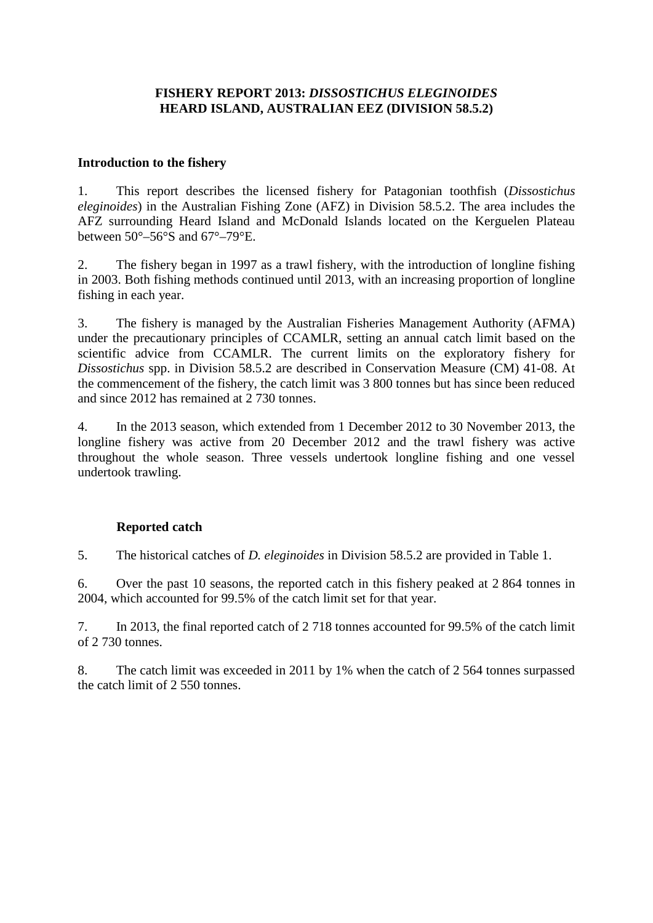# **FISHERY REPORT 2013:** *DISSOSTICHUS ELEGINOIDES* **HEARD ISLAND, AUSTRALIAN EEZ (DIVISION 58.5.2)**

## **Introduction to the fishery**

1. This report describes the licensed fishery for Patagonian toothfish (*Dissostichus eleginoides*) in the Australian Fishing Zone (AFZ) in Division 58.5.2. The area includes the AFZ surrounding Heard Island and McDonald Islands located on the Kerguelen Plateau between  $50^{\circ} - 56^{\circ}$ S and  $67^{\circ} - 79^{\circ}$ E.

2. The fishery began in 1997 as a trawl fishery, with the introduction of longline fishing in 2003. Both fishing methods continued until 2013, with an increasing proportion of longline fishing in each year.

3. The fishery is managed by the Australian Fisheries Management Authority (AFMA) under the precautionary principles of CCAMLR, setting an annual catch limit based on the scientific advice from CCAMLR. The current limits on the exploratory fishery for *Dissostichus* spp. in Division 58.5.2 are described in Conservation Measure (CM) 41-08. At the commencement of the fishery, the catch limit was 3 800 tonnes but has since been reduced and since 2012 has remained at 2 730 tonnes.

4. In the 2013 season, which extended from 1 December 2012 to 30 November 2013, the longline fishery was active from 20 December 2012 and the trawl fishery was active throughout the whole season. Three vessels undertook longline fishing and one vessel undertook trawling.

# **Reported catch**

5. The historical catches of *D. eleginoides* in Division 58.5.2 are provided in Table 1.

6. Over the past 10 seasons, the reported catch in this fishery peaked at 2 864 tonnes in 2004, which accounted for 99.5% of the catch limit set for that year.

7. In 2013, the final reported catch of 2 718 tonnes accounted for 99.5% of the catch limit of 2 730 tonnes.

8. The catch limit was exceeded in 2011 by 1% when the catch of 2 564 tonnes surpassed the catch limit of 2 550 tonnes.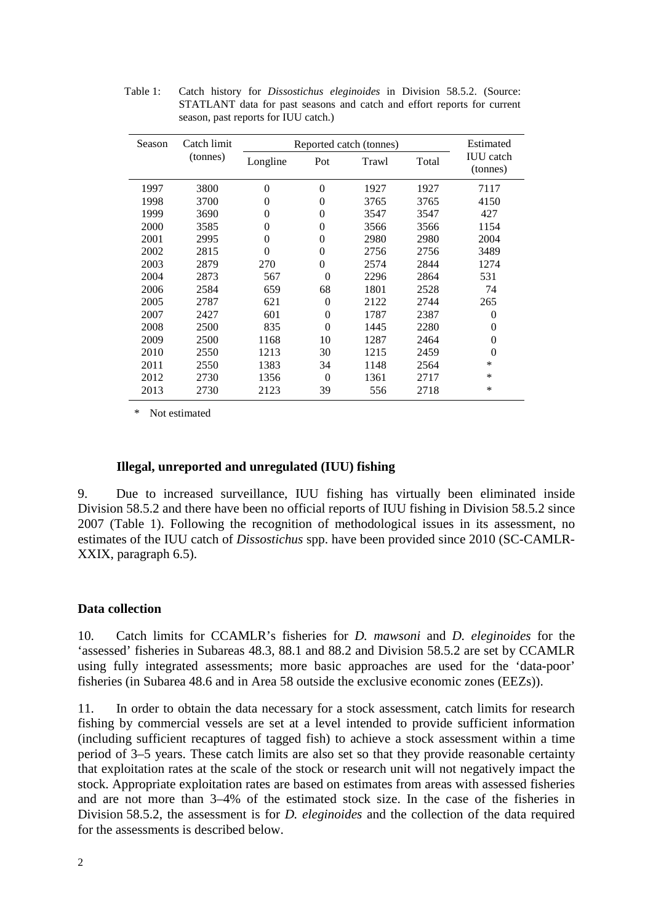| Season | Catch limit |          |          | Reported catch (tonnes) |       | Estimated                    |
|--------|-------------|----------|----------|-------------------------|-------|------------------------------|
|        | (tonnes)    | Longline | Pot      | Trawl                   | Total | <b>IUU</b> catch<br>(tonnes) |
| 1997   | 3800        | 0        | $\theta$ | 1927                    | 1927  | 7117                         |
| 1998   | 3700        | 0        | $\theta$ | 3765                    | 3765  | 4150                         |
| 1999   | 3690        | 0        | $\Omega$ | 3547                    | 3547  | 427                          |
| 2000   | 3585        | 0        | $\theta$ | 3566                    | 3566  | 1154                         |
| 2001   | 2995        | $\theta$ | $\theta$ | 2980                    | 2980  | 2004                         |
| 2002   | 2815        | $\theta$ | $\Omega$ | 2756                    | 2756  | 3489                         |
| 2003   | 2879        | 270      | $\Omega$ | 2574                    | 2844  | 1274                         |
| 2004   | 2873        | 567      | $\Omega$ | 2296                    | 2864  | 531                          |
| 2006   | 2584        | 659      | 68       | 1801                    | 2528  | 74                           |
| 2005   | 2787        | 621      | $\Omega$ | 2122                    | 2744  | 265                          |
| 2007   | 2427        | 601      | $\theta$ | 1787                    | 2387  | $\theta$                     |
| 2008   | 2500        | 835      | $\Omega$ | 1445                    | 2280  | $\theta$                     |
| 2009   | 2500        | 1168     | 10       | 1287                    | 2464  | $\theta$                     |
| 2010   | 2550        | 1213     | 30       | 1215                    | 2459  | $\theta$                     |
| 2011   | 2550        | 1383     | 34       | 1148                    | 2564  | *                            |
| 2012   | 2730        | 1356     | $\Omega$ | 1361                    | 2717  | *                            |
| 2013   | 2730        | 2123     | 39       | 556                     | 2718  | *                            |

Table 1: Catch history for *Dissostichus eleginoides* in Division 58.5.2. (Source: STATLANT data for past seasons and catch and effort reports for current season, past reports for IUU catch.)

\* Not estimated

### **Illegal, unreported and unregulated (IUU) fishing**

9. Due to increased surveillance, IUU fishing has virtually been eliminated inside Division 58.5.2 and there have been no official reports of IUU fishing in Division 58.5.2 since 2007 (Table 1). Following the recognition of methodological issues in its assessment, no estimates of the IUU catch of *Dissostichus* spp. have been provided since 2010 (SC-CAMLR-XXIX, paragraph 6.5).

### **Data collection**

10. Catch limits for CCAMLR's fisheries for *D. mawsoni* and *D. eleginoides* for the 'assessed' fisheries in Subareas 48.3, 88.1 and 88.2 and Division 58.5.2 are set by CCAMLR using fully integrated assessments; more basic approaches are used for the 'data-poor' fisheries (in Subarea 48.6 and in Area 58 outside the exclusive economic zones (EEZs)).

11. In order to obtain the data necessary for a stock assessment, catch limits for research fishing by commercial vessels are set at a level intended to provide sufficient information (including sufficient recaptures of tagged fish) to achieve a stock assessment within a time period of 3–5 years. These catch limits are also set so that they provide reasonable certainty that exploitation rates at the scale of the stock or research unit will not negatively impact the stock. Appropriate exploitation rates are based on estimates from areas with assessed fisheries and are not more than 3–4% of the estimated stock size. In the case of the fisheries in Division 58.5.2, the assessment is for *D. eleginoides* and the collection of the data required for the assessments is described below.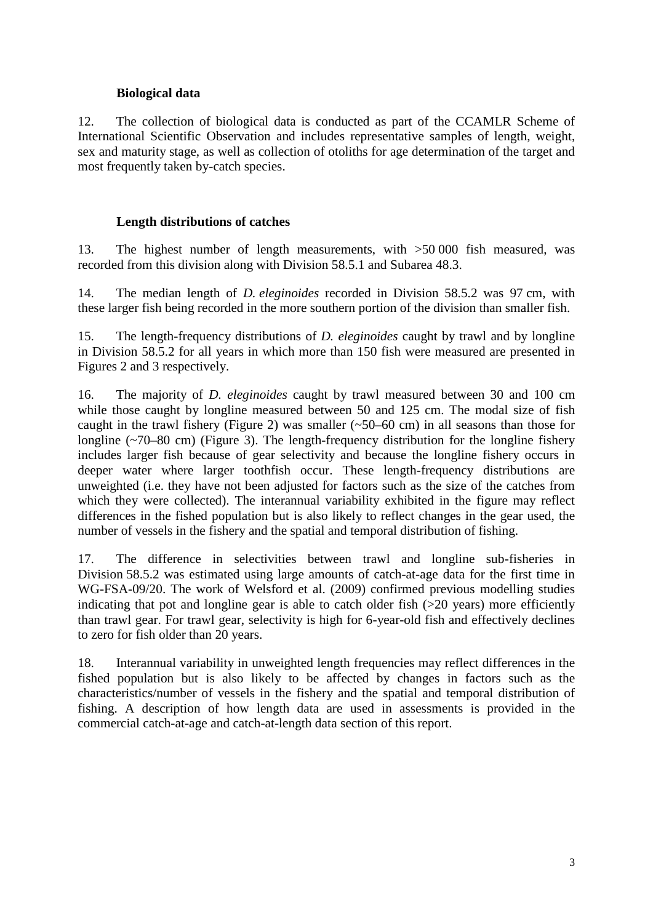# **Biological data**

12. The collection of biological data is conducted as part of the CCAMLR Scheme of International Scientific Observation and includes representative samples of length, weight, sex and maturity stage, as well as collection of otoliths for age determination of the target and most frequently taken by-catch species.

# **Length distributions of catches**

13. The highest number of length measurements, with >50 000 fish measured, was recorded from this division along with Division 58.5.1 and Subarea 48.3.

14. The median length of *D. eleginoides* recorded in Division 58.5.2 was 97 cm, with these larger fish being recorded in the more southern portion of the division than smaller fish.

15. The length-frequency distributions of *D. eleginoides* caught by trawl and by longline in Division 58.5.2 for all years in which more than 150 fish were measured are presented in Figures 2 and 3 respectively.

16. The majority of *D. eleginoides* caught by trawl measured between 30 and 100 cm while those caught by longline measured between 50 and 125 cm. The modal size of fish caught in the trawl fishery (Figure 2) was smaller (~50–60 cm) in all seasons than those for longline (~70–80 cm) (Figure 3). The length-frequency distribution for the longline fishery includes larger fish because of gear selectivity and because the longline fishery occurs in deeper water where larger toothfish occur. These length-frequency distributions are unweighted (i.e. they have not been adjusted for factors such as the size of the catches from which they were collected). The interannual variability exhibited in the figure may reflect differences in the fished population but is also likely to reflect changes in the gear used, the number of vessels in the fishery and the spatial and temporal distribution of fishing.

17. The difference in selectivities between trawl and longline sub-fisheries in Division 58.5.2 was estimated using large amounts of catch-at-age data for the first time in WG-FSA-09/20. The work of Welsford et al. (2009) confirmed previous modelling studies indicating that pot and longline gear is able to catch older fish (>20 years) more efficiently than trawl gear. For trawl gear, selectivity is high for 6-year-old fish and effectively declines to zero for fish older than 20 years.

18. Interannual variability in unweighted length frequencies may reflect differences in the fished population but is also likely to be affected by changes in factors such as the characteristics/number of vessels in the fishery and the spatial and temporal distribution of fishing. A description of how length data are used in assessments is provided in the commercial catch-at-age and catch-at-length data section of this report.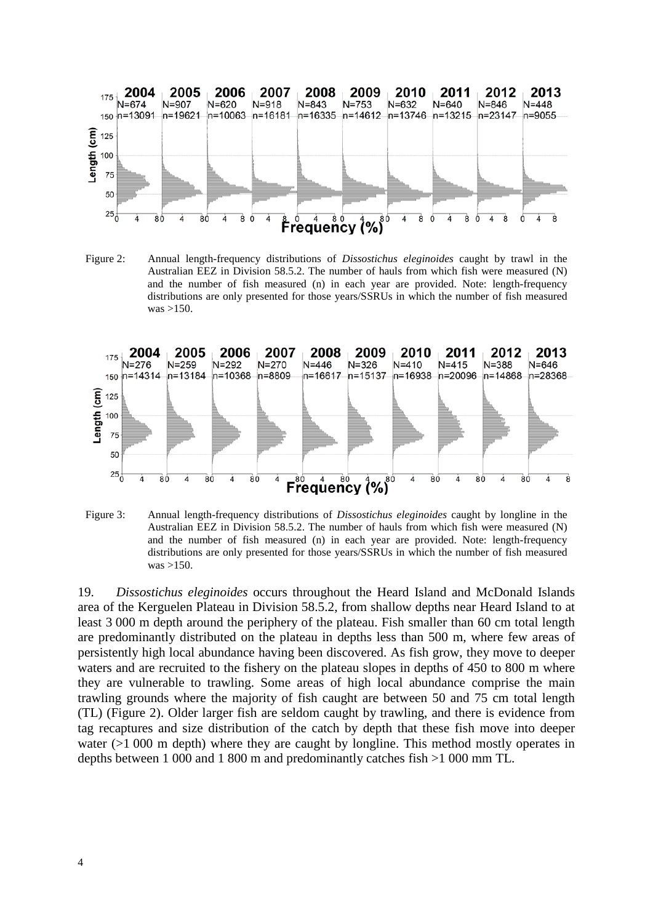

Figure 2: Annual length-frequency distributions of *Dissostichus eleginoides* caught by trawl in the Australian EEZ in Division 58.5.2. The number of hauls from which fish were measured (N) and the number of fish measured (n) in each year are provided. Note: length-frequency distributions are only presented for those years/SSRUs in which the number of fish measured was >150.



Figure 3: Annual length-frequency distributions of *Dissostichus eleginoides* caught by longline in the Australian EEZ in Division 58.5.2. The number of hauls from which fish were measured (N) and the number of fish measured (n) in each year are provided. Note: length-frequency distributions are only presented for those years/SSRUs in which the number of fish measured was >150.

19. *Dissostichus eleginoides* occurs throughout the Heard Island and McDonald Islands area of the Kerguelen Plateau in Division 58.5.2, from shallow depths near Heard Island to at least 3 000 m depth around the periphery of the plateau. Fish smaller than 60 cm total length are predominantly distributed on the plateau in depths less than 500 m, where few areas of persistently high local abundance having been discovered. As fish grow, they move to deeper waters and are recruited to the fishery on the plateau slopes in depths of 450 to 800 m where they are vulnerable to trawling. Some areas of high local abundance comprise the main trawling grounds where the majority of fish caught are between 50 and 75 cm total length (TL) (Figure 2). Older larger fish are seldom caught by trawling, and there is evidence from tag recaptures and size distribution of the catch by depth that these fish move into deeper water (>1 000 m depth) where they are caught by longline. This method mostly operates in depths between 1 000 and 1 800 m and predominantly catches fish >1 000 mm TL.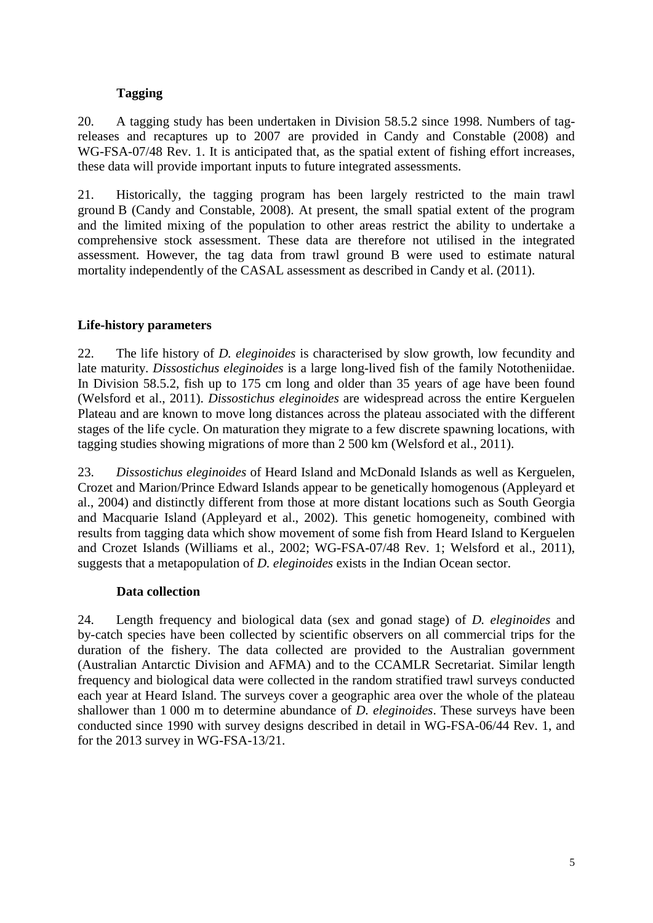# **Tagging**

20. A tagging study has been undertaken in Division 58.5.2 since 1998. Numbers of tagreleases and recaptures up to 2007 are provided in Candy and Constable (2008) and WG-FSA-07/48 Rev. 1. It is anticipated that, as the spatial extent of fishing effort increases, these data will provide important inputs to future integrated assessments.

21. Historically, the tagging program has been largely restricted to the main trawl ground B (Candy and Constable, 2008). At present, the small spatial extent of the program and the limited mixing of the population to other areas restrict the ability to undertake a comprehensive stock assessment. These data are therefore not utilised in the integrated assessment. However, the tag data from trawl ground B were used to estimate natural mortality independently of the CASAL assessment as described in Candy et al. (2011).

# **Life-history parameters**

22. The life history of *D. eleginoides* is characterised by slow growth, low fecundity and late maturity. *Dissostichus eleginoides* is a large long-lived fish of the family Nototheniidae. In Division 58.5.2, fish up to 175 cm long and older than 35 years of age have been found (Welsford et al., 2011). *Dissostichus eleginoides* are widespread across the entire Kerguelen Plateau and are known to move long distances across the plateau associated with the different stages of the life cycle. On maturation they migrate to a few discrete spawning locations, with tagging studies showing migrations of more than 2 500 km (Welsford et al., 2011).

23. *Dissostichus eleginoides* of Heard Island and McDonald Islands as well as Kerguelen, Crozet and Marion/Prince Edward Islands appear to be genetically homogenous (Appleyard et al., 2004) and distinctly different from those at more distant locations such as South Georgia and Macquarie Island (Appleyard et al., 2002). This genetic homogeneity, combined with results from tagging data which show movement of some fish from Heard Island to Kerguelen and Crozet Islands (Williams et al., 2002; WG-FSA-07/48 Rev. 1; Welsford et al., 2011), suggests that a metapopulation of *D. eleginoides* exists in the Indian Ocean sector.

# **Data collection**

24. Length frequency and biological data (sex and gonad stage) of *D. eleginoides* and by-catch species have been collected by scientific observers on all commercial trips for the duration of the fishery. The data collected are provided to the Australian government (Australian Antarctic Division and AFMA) and to the CCAMLR Secretariat. Similar length frequency and biological data were collected in the random stratified trawl surveys conducted each year at Heard Island. The surveys cover a geographic area over the whole of the plateau shallower than 1 000 m to determine abundance of *D. eleginoides*. These surveys have been conducted since 1990 with survey designs described in detail in WG-FSA-06/44 Rev. 1, and for the 2013 survey in WG-FSA-13/21.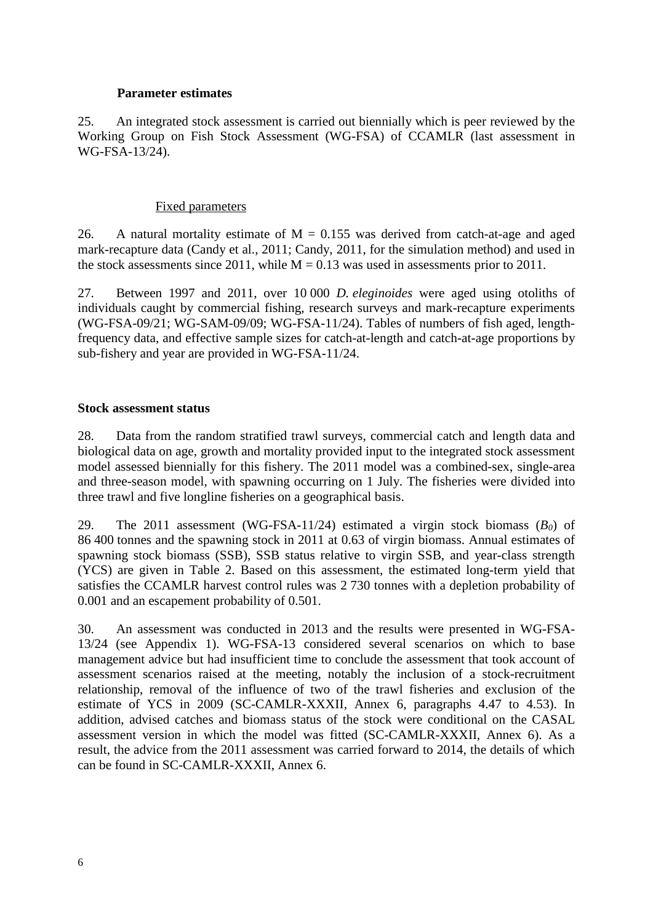### **Parameter estimates**

25. An integrated stock assessment is carried out biennially which is peer reviewed by the Working Group on Fish Stock Assessment (WG-FSA) of CCAMLR (last assessment in WG-FSA-13/24).

### Fixed parameters

26. A natural mortality estimate of  $M = 0.155$  was derived from catch-at-age and aged mark-recapture data (Candy et al., 2011; Candy, 2011, for the simulation method) and used in the stock assessments since 2011, while  $M = 0.13$  was used in assessments prior to 2011.

27. Between 1997 and 2011, over 10 000 *D. eleginoides* were aged using otoliths of individuals caught by commercial fishing, research surveys and mark-recapture experiments (WG-FSA-09/21; WG-SAM-09/09; WG-FSA-11/24). Tables of numbers of fish aged, lengthfrequency data, and effective sample sizes for catch-at-length and catch-at-age proportions by sub-fishery and year are provided in WG-FSA-11/24.

### **Stock assessment status**

28. Data from the random stratified trawl surveys, commercial catch and length data and biological data on age, growth and mortality provided input to the integrated stock assessment model assessed biennially for this fishery. The 2011 model was a combined-sex, single-area and three-season model, with spawning occurring on 1 July. The fisheries were divided into three trawl and five longline fisheries on a geographical basis.

29. The 2011 assessment (WG-FSA-11/24) estimated a virgin stock biomass  $(B_0)$  of 86 400 tonnes and the spawning stock in 2011 at 0.63 of virgin biomass. Annual estimates of spawning stock biomass (SSB), SSB status relative to virgin SSB, and year-class strength (YCS) are given in Table 2. Based on this assessment, the estimated long-term yield that satisfies the CCAMLR harvest control rules was 2 730 tonnes with a depletion probability of 0.001 and an escapement probability of 0.501.

30. An assessment was conducted in 2013 and the results were presented in WG-FSA-13/24 (see Appendix 1). WG-FSA-13 considered several scenarios on which to base management advice but had insufficient time to conclude the assessment that took account of assessment scenarios raised at the meeting, notably the inclusion of a stock-recruitment relationship, removal of the influence of two of the trawl fisheries and exclusion of the estimate of YCS in 2009 (SC-CAMLR-XXXII, Annex 6, paragraphs 4.47 to 4.53). In addition, advised catches and biomass status of the stock were conditional on the CASAL assessment version in which the model was fitted (SC-CAMLR-XXXII, Annex 6). As a result, the advice from the 2011 assessment was carried forward to 2014, the details of which can be found in SC-CAMLR-XXXII, Annex 6.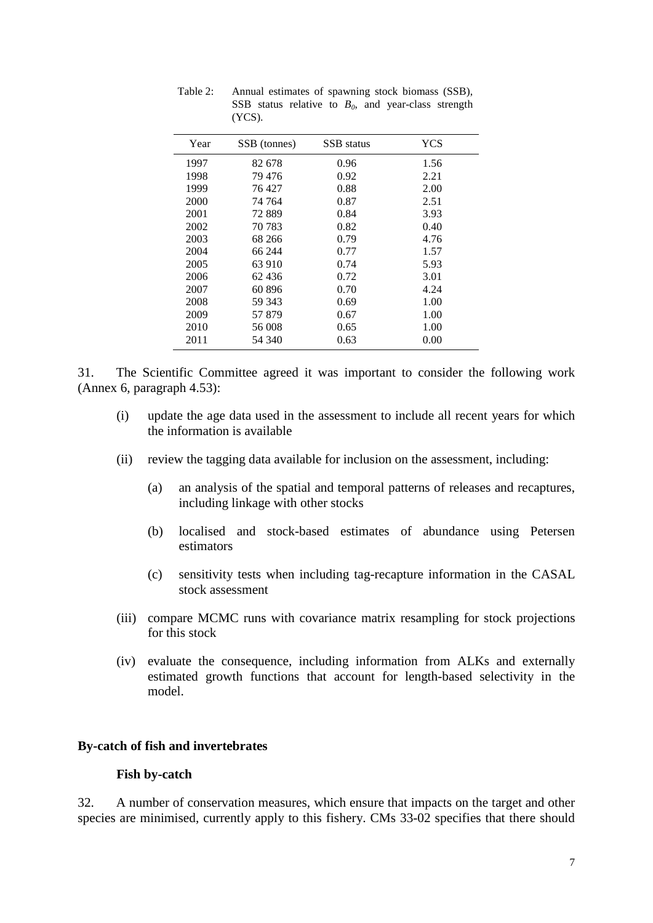| Year | SSB (tonnes) | SSB status | YCS  |
|------|--------------|------------|------|
| 1997 | 82 678       | 0.96       | 1.56 |
| 1998 | 79 476       | 0.92       | 2.21 |
| 1999 | 76427        | 0.88       | 2.00 |
| 2000 | 74 764       | 0.87       | 2.51 |
| 2001 | 72889        | 0.84       | 3.93 |
| 2002 | 70 783       | 0.82       | 0.40 |
| 2003 | 68 266       | 0.79       | 4.76 |
| 2004 | 66 244       | 0.77       | 1.57 |
| 2005 | 63 910       | 0.74       | 5.93 |
| 2006 | 62436        | 0.72       | 3.01 |
| 2007 | 60896        | 0.70       | 4.24 |
| 2008 | 59 343       | 0.69       | 1.00 |
| 2009 | 57879        | 0.67       | 1.00 |
| 2010 | 56 008       | 0.65       | 1.00 |
| 2011 | 54 340       | 0.63       | 0.00 |

Table 2: Annual estimates of spawning stock biomass (SSB), SSB status relative to  $B_0$ , and year-class strength (YCS).

31. The Scientific Committee agreed it was important to consider the following work (Annex 6, paragraph 4.53):

- (i) update the age data used in the assessment to include all recent years for which the information is available
- (ii) review the tagging data available for inclusion on the assessment, including:
	- (a) an analysis of the spatial and temporal patterns of releases and recaptures, including linkage with other stocks
	- (b) localised and stock-based estimates of abundance using Petersen estimators
	- (c) sensitivity tests when including tag-recapture information in the CASAL stock assessment
- (iii) compare MCMC runs with covariance matrix resampling for stock projections for this stock
- (iv) evaluate the consequence, including information from ALKs and externally estimated growth functions that account for length-based selectivity in the model.

## **By-catch of fish and invertebrates**

### **Fish by-catch**

32. A number of conservation measures, which ensure that impacts on the target and other species are minimised, currently apply to this fishery. CMs 33-02 specifies that there should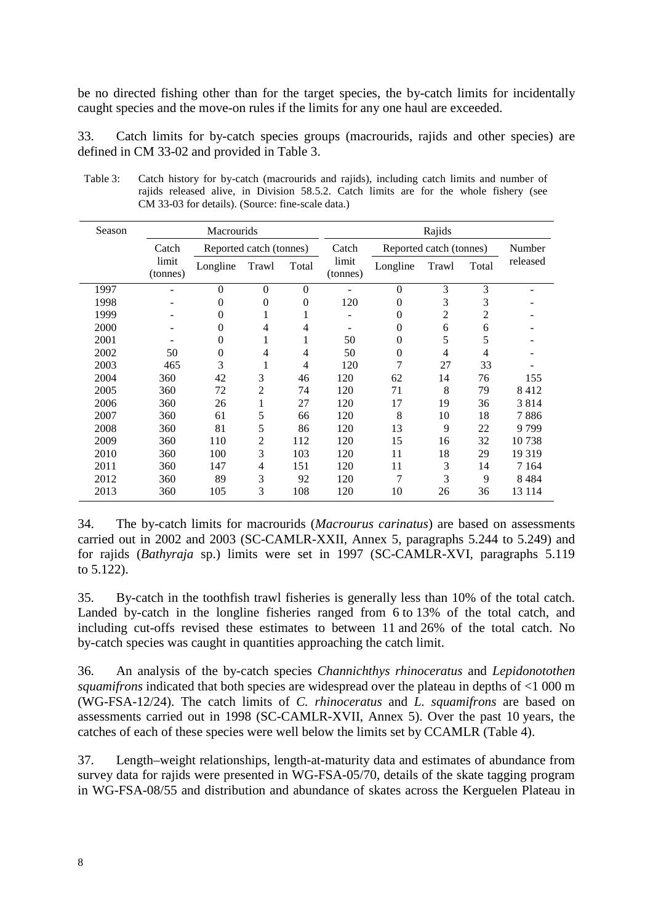be no directed fishing other than for the target species, the by-catch limits for incidentally caught species and the move-on rules if the limits for any one haul are exceeded.

33. Catch limits for by-catch species groups (macrourids, rajids and other species) are defined in CM 33-02 and provided in Table 3.

| Season |                   | Macrourids       |                         |          |                   |          | Rajids                  |       |          |  |
|--------|-------------------|------------------|-------------------------|----------|-------------------|----------|-------------------------|-------|----------|--|
|        | Catch             |                  | Reported catch (tonnes) |          | Catch             |          | Reported catch (tonnes) |       | Number   |  |
|        | limit<br>(tonnes) | Longline         | Trawl                   | Total    | limit<br>(tonnes) | Longline | Trawl                   | Total | released |  |
| 1997   |                   | $\theta$         | $\theta$                | $\Omega$ |                   | $\theta$ | 3                       | 3     |          |  |
| 1998   |                   | $\overline{0}$   | $\theta$                | $\theta$ | 120               | 0        | 3                       | 3     |          |  |
| 1999   |                   | 0                | 1                       | 1        |                   | 0        | 2                       | 2     |          |  |
| 2000   |                   | $\overline{0}$   | 4                       | 4        |                   | $\theta$ | 6                       | 6     |          |  |
| 2001   |                   | 0                |                         | 1        | 50                | 0        | 5                       | 5     |          |  |
| 2002   | 50                | $\boldsymbol{0}$ | 4                       | 4        | 50                | 0        | 4                       | 4     |          |  |
| 2003   | 465               | 3                | 1                       | 4        | 120               | 7        | 27                      | 33    |          |  |
| 2004   | 360               | 42               | 3                       | 46       | 120               | 62       | 14                      | 76    | 155      |  |
| 2005   | 360               | 72               | 2                       | 74       | 120               | 71       | 8                       | 79    | 8412     |  |
| 2006   | 360               | 26               | 1                       | 27       | 120               | 17       | 19                      | 36    | 3814     |  |
| 2007   | 360               | 61               | 5                       | 66       | 120               | 8        | 10                      | 18    | 7 886    |  |
| 2008   | 360               | 81               | 5                       | 86       | 120               | 13       | 9                       | 22    | 9799     |  |
| 2009   | 360               | 110              | 2                       | 112      | 120               | 15       | 16                      | 32    | 10738    |  |
| 2010   | 360               | 100              | 3                       | 103      | 120               | 11       | 18                      | 29    | 19 3 19  |  |
| 2011   | 360               | 147              | 4                       | 151      | 120               | 11       | 3                       | 14    | 7 1 6 4  |  |
| 2012   | 360               | 89               | 3                       | 92       | 120               | 7        | 3                       | 9     | 8484     |  |
| 2013   | 360               | 105              | 3                       | 108      | 120               | 10       | 26                      | 36    | 13 1 14  |  |

Table 3: Catch history for by-catch (macrourids and rajids), including catch limits and number of rajids released alive, in Division 58.5.2. Catch limits are for the whole fishery (see CM 33-03 for details). (Source: fine-scale data.)

34. The by-catch limits for macrourids (*Macrourus carinatus*) are based on assessments carried out in 2002 and 2003 (SC-CAMLR-XXII, Annex 5, paragraphs 5.244 to 5.249) and for rajids (*Bathyraja* sp.) limits were set in 1997 (SC-CAMLR-XVI, paragraphs 5.119 to 5.122).

35. By-catch in the toothfish trawl fisheries is generally less than 10% of the total catch. Landed by-catch in the longline fisheries ranged from 6 to 13% of the total catch, and including cut-offs revised these estimates to between 11 and 26% of the total catch. No by-catch species was caught in quantities approaching the catch limit.

36. An analysis of the by-catch species *Channichthys rhinoceratus* and *Lepidonotothen squamifrons* indicated that both species are widespread over the plateau in depths of <1 000 m (WG-FSA-12/24). The catch limits of *C. rhinoceratus* and *L. squamifrons* are based on assessments carried out in 1998 (SC-CAMLR-XVII, Annex 5). Over the past 10 years, the catches of each of these species were well below the limits set by CCAMLR (Table 4).

37. Length–weight relationships, length-at-maturity data and estimates of abundance from survey data for rajids were presented in WG-FSA-05/70, details of the skate tagging program in WG-FSA-08/55 and distribution and abundance of skates across the Kerguelen Plateau in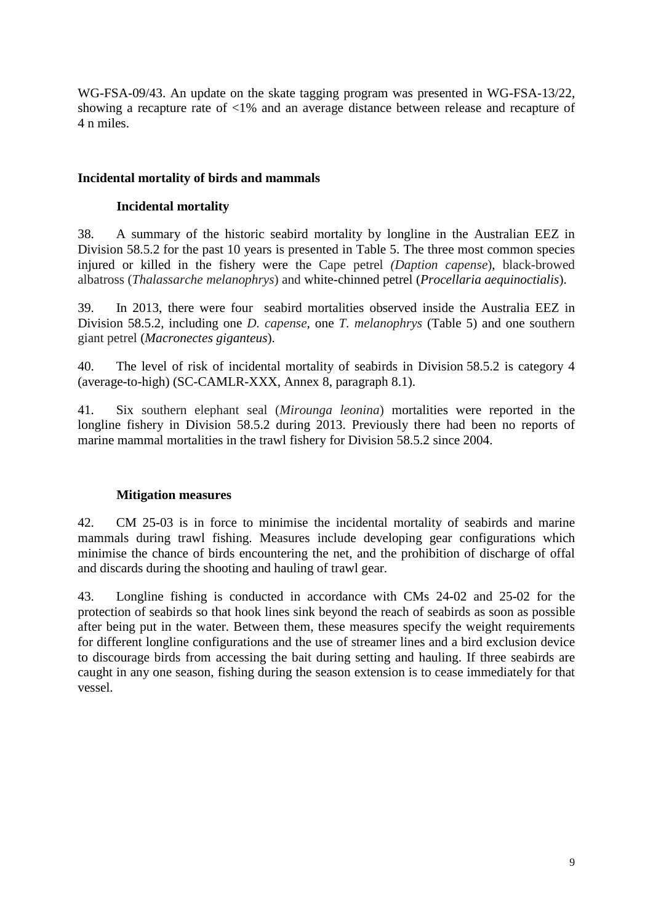WG-FSA-09/43. An update on the skate tagging program was presented in WG-FSA-13/22, showing a recapture rate of <1% and an average distance between release and recapture of 4 n miles.

# **Incidental mortality of birds and mammals**

# **Incidental mortality**

38. A summary of the historic seabird mortality by longline in the Australian EEZ in Division 58.5.2 for the past 10 years is presented in Table 5. The three most common species injured or killed in the fishery were the Cape petrel *(Daption capense*), black-browed albatross (*Thalassarche melanophrys*) and white-chinned petrel (*Procellaria aequinoctialis*).

39. In 2013, there were four seabird mortalities observed inside the Australia EEZ in Division 58.5.2, including one *D. capense*, one *T. melanophrys* (Table 5) and one southern giant petrel (*Macronectes giganteus*).

40. The level of risk of incidental mortality of seabirds in Division 58.5.2 is category 4 (average-to-high) (SC-CAMLR-XXX, Annex 8, paragraph 8.1).

41. Six southern elephant seal (*Mirounga leonina*) mortalities were reported in the longline fishery in Division 58.5.2 during 2013. Previously there had been no reports of marine mammal mortalities in the trawl fishery for Division 58.5.2 since 2004.

# **Mitigation measures**

42. CM 25-03 is in force to minimise the incidental mortality of seabirds and marine mammals during trawl fishing. Measures include developing gear configurations which minimise the chance of birds encountering the net, and the prohibition of discharge of offal and discards during the shooting and hauling of trawl gear.

43. Longline fishing is conducted in accordance with CMs 24-02 and 25-02 for the protection of seabirds so that hook lines sink beyond the reach of seabirds as soon as possible after being put in the water. Between them, these measures specify the weight requirements for different longline configurations and the use of streamer lines and a bird exclusion device to discourage birds from accessing the bait during setting and hauling. If three seabirds are caught in any one season, fishing during the season extension is to cease immediately for that vessel.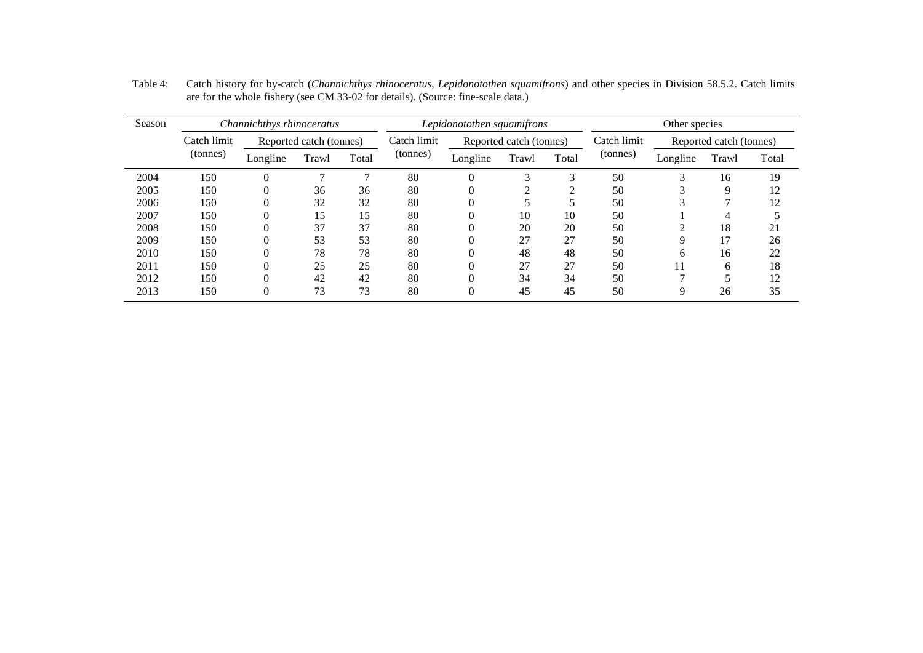| Season |             | Channichthys rhinoceratus |                         |       | Lepidonotothen squamifrons |          |                         | Other species |             |          |                         |       |
|--------|-------------|---------------------------|-------------------------|-------|----------------------------|----------|-------------------------|---------------|-------------|----------|-------------------------|-------|
|        | Catch limit |                           | Reported catch (tonnes) |       | Catch limit                |          | Reported catch (tonnes) |               | Catch limit |          | Reported catch (tonnes) |       |
|        | (tonnes)    | Longline                  | Trawl                   | Total | (tonnes)                   | Longline | Trawl                   | Total         | (tonnes)    | Longline | Trawl                   | Total |
| 2004   | 150         | $\theta$                  |                         |       | 80                         | $\Omega$ | 3                       | 3             | 50          |          | 16                      | 19    |
| 2005   | 150         | 0                         | 36                      | 36    | 80                         | $\Omega$ |                         | ◠             | 50          |          | 9                       | 12    |
| 2006   | 150         |                           | 32                      | 32    | 80                         | v        |                         |               | 50          |          |                         | 12    |
| 2007   | 150         |                           | 15                      | 15    | 80                         | $\Omega$ | 10                      | 10            | 50          |          | 4                       |       |
| 2008   | 150         |                           | 37                      | 37    | 80                         | U        | 20                      | 20            | 50          |          | 18                      | 21    |
| 2009   | 150         |                           | 53                      | 53    | 80                         | $\Omega$ | 27                      | 27            | 50          | 9        | 17                      | 26    |
| 2010   | 150         |                           | 78                      | 78    | 80                         | $\Omega$ | 48                      | 48            | 50          | h.       | 16                      | 22    |
| 2011   | 150         |                           | 25                      | 25    | 80                         |          | 27                      | 27            | 50          | 11       | h                       | 18    |
| 2012   | 150         |                           | 42                      | 42    | 80                         | $\Omega$ | 34                      | 34            | 50          |          |                         | 12    |
| 2013   | 150         |                           | 73                      | 73    | 80                         | 0        | 45                      | 45            | 50          | Q        | 26                      | 35    |

Table 4: Catch history for by-catch (*Channichthys rhinoceratus*, *Lepidonotothen squamifrons*) and other species in Division 58.5.2. Catch limits are for the whole fishery (see CM 33-02 for details). (Source: fine-scale data.)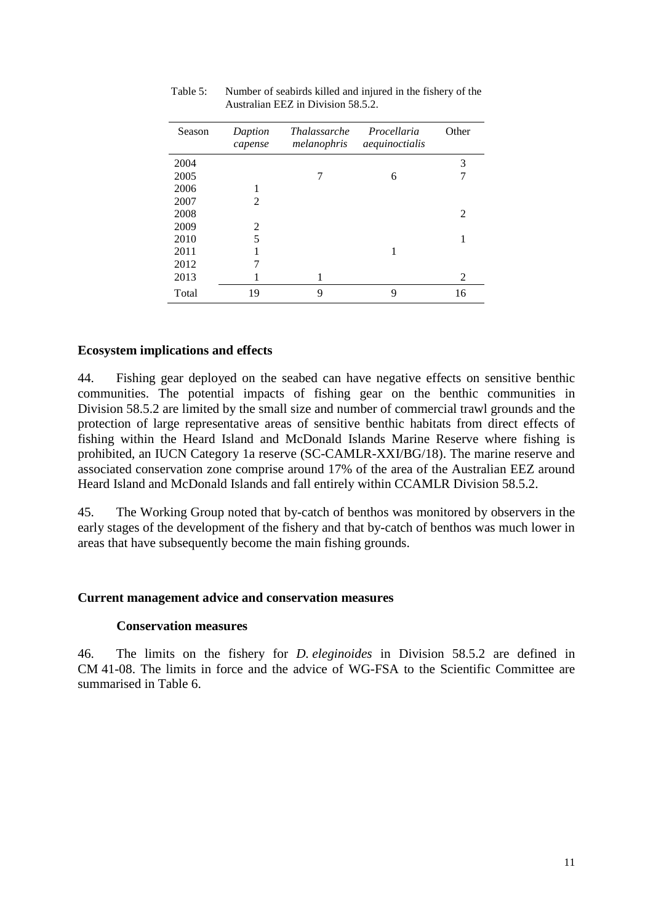| Season | Daption<br>capense | <i>Thalassarche</i><br>melanophris | Procellaria<br>aequinoctialis | Other |
|--------|--------------------|------------------------------------|-------------------------------|-------|
| 2004   |                    |                                    |                               | 3     |
| 2005   |                    | 7                                  | 6                             |       |
| 2006   | 1                  |                                    |                               |       |
| 2007   | 2                  |                                    |                               |       |
| 2008   |                    |                                    |                               | 2     |
| 2009   | 2                  |                                    |                               |       |
| 2010   | 5                  |                                    |                               | 1     |
| 2011   |                    |                                    |                               |       |
| 2012   |                    |                                    |                               |       |
| 2013   |                    | 1                                  |                               | 2     |
| Total  | 19                 | 9                                  | 9                             | 16    |

Table 5: Number of seabirds killed and injured in the fishery of the Australian EEZ in Division 58.5.2.

# **Ecosystem implications and effects**

44. Fishing gear deployed on the seabed can have negative effects on sensitive benthic communities. The potential impacts of fishing gear on the benthic communities in Division 58.5.2 are limited by the small size and number of commercial trawl grounds and the protection of large representative areas of sensitive benthic habitats from direct effects of fishing within the Heard Island and McDonald Islands Marine Reserve where fishing is prohibited, an IUCN Category 1a reserve (SC-CAMLR-XXI/BG/18). The marine reserve and associated conservation zone comprise around 17% of the area of the Australian EEZ around Heard Island and McDonald Islands and fall entirely within CCAMLR Division 58.5.2.

45. The Working Group noted that by-catch of benthos was monitored by observers in the early stages of the development of the fishery and that by-catch of benthos was much lower in areas that have subsequently become the main fishing grounds.

## **Current management advice and conservation measures**

### **Conservation measures**

46. The limits on the fishery for *D. eleginoides* in Division 58.5.2 are defined in CM 41-08. The limits in force and the advice of WG-FSA to the Scientific Committee are summarised in Table 6.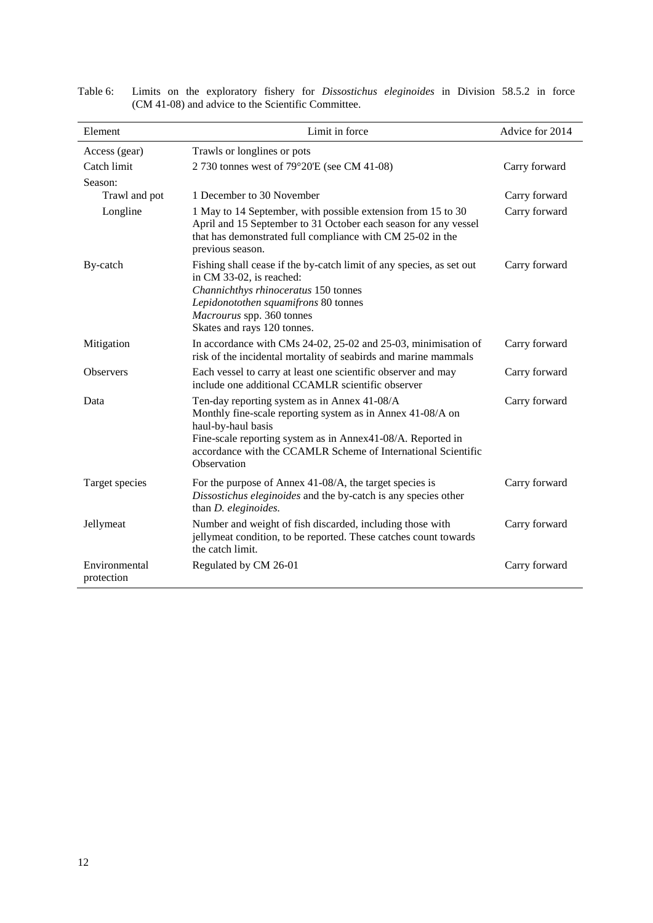|                             |                                                                                                                                                                                                                                                                                 | Advice for 2014 |
|-----------------------------|---------------------------------------------------------------------------------------------------------------------------------------------------------------------------------------------------------------------------------------------------------------------------------|-----------------|
| Element                     | Limit in force                                                                                                                                                                                                                                                                  |                 |
| Access (gear)               | Trawls or longlines or pots                                                                                                                                                                                                                                                     |                 |
| Catch limit                 | 2 730 tonnes west of 79°20'E (see CM 41-08)                                                                                                                                                                                                                                     | Carry forward   |
| Season:                     |                                                                                                                                                                                                                                                                                 |                 |
| Trawl and pot               | 1 December to 30 November                                                                                                                                                                                                                                                       | Carry forward   |
| Longline                    | 1 May to 14 September, with possible extension from 15 to 30<br>April and 15 September to 31 October each season for any vessel<br>that has demonstrated full compliance with CM 25-02 in the<br>previous season.                                                               | Carry forward   |
| By-catch                    | Fishing shall cease if the by-catch limit of any species, as set out<br>in CM 33-02, is reached:<br>Channichthys rhinoceratus 150 tonnes<br>Lepidonotothen squamifrons 80 tonnes<br>Macrourus spp. 360 tonnes<br>Skates and rays 120 tonnes.                                    | Carry forward   |
| Mitigation                  | In accordance with CMs 24-02, 25-02 and 25-03, minimisation of<br>risk of the incidental mortality of seabirds and marine mammals                                                                                                                                               | Carry forward   |
| <b>Observers</b>            | Each vessel to carry at least one scientific observer and may<br>include one additional CCAMLR scientific observer                                                                                                                                                              | Carry forward   |
| Data                        | Ten-day reporting system as in Annex 41-08/A<br>Monthly fine-scale reporting system as in Annex 41-08/A on<br>haul-by-haul basis<br>Fine-scale reporting system as in Annex41-08/A. Reported in<br>accordance with the CCAMLR Scheme of International Scientific<br>Observation | Carry forward   |
| Target species              | For the purpose of Annex 41-08/A, the target species is<br>Dissostichus eleginoides and the by-catch is any species other<br>than D. eleginoides.                                                                                                                               | Carry forward   |
| Jellymeat                   | Number and weight of fish discarded, including those with<br>jellymeat condition, to be reported. These catches count towards<br>the catch limit.                                                                                                                               | Carry forward   |
| Environmental<br>protection | Regulated by CM 26-01                                                                                                                                                                                                                                                           | Carry forward   |

| Table 6: |  |                                                    |  | Limits on the exploratory fishery for <i>Dissostichus eleginoides</i> in Division 58.5.2 in force |  |  |  |
|----------|--|----------------------------------------------------|--|---------------------------------------------------------------------------------------------------|--|--|--|
|          |  | (CM 41-08) and advice to the Scientific Committee. |  |                                                                                                   |  |  |  |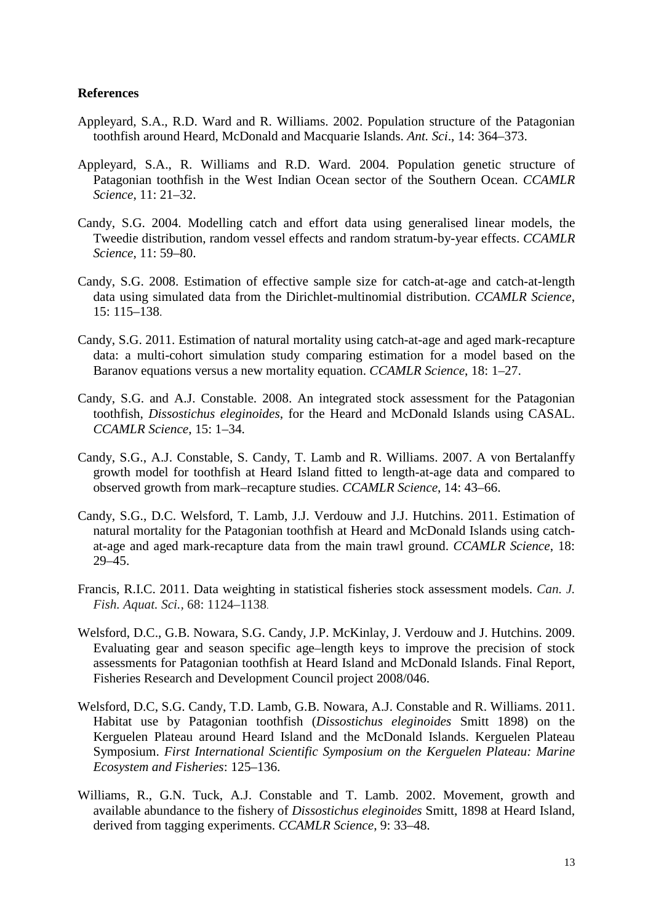### **References**

- Appleyard, S.A., R.D. Ward and R. Williams. 2002. Population structure of the Patagonian toothfish around Heard, McDonald and Macquarie Islands. *Ant. Sci*., 14: 364–373.
- Appleyard, S.A., R. Williams and R.D. Ward. 2004. Population genetic structure of Patagonian toothfish in the West Indian Ocean sector of the Southern Ocean. *CCAMLR Science*, 11: 21–32.
- Candy, S.G. 2004. Modelling catch and effort data using generalised linear models, the Tweedie distribution, random vessel effects and random stratum-by-year effects. *CCAMLR Science*, 11: 59–80.
- Candy, S.G. 2008. Estimation of effective sample size for catch-at-age and catch-at-length data using simulated data from the Dirichlet-multinomial distribution. *CCAMLR Science*, 15: 115–138.
- Candy, S.G. 2011. Estimation of natural mortality using catch-at-age and aged mark-recapture data: a multi-cohort simulation study comparing estimation for a model based on the Baranov equations versus a new mortality equation. *CCAMLR Science*, 18: 1–27.
- Candy, S.G. and A.J. Constable. 2008. An integrated stock assessment for the Patagonian toothfish, *Dissostichus eleginoides*, for the Heard and McDonald Islands using CASAL. *CCAMLR Science*, 15: 1–34.
- Candy, S.G., A.J. Constable, S. Candy, T. Lamb and R. Williams. 2007. A von Bertalanffy growth model for toothfish at Heard Island fitted to length-at-age data and compared to observed growth from mark–recapture studies. *CCAMLR Science*, 14: 43–66.
- Candy, S.G., D.C. Welsford, T. Lamb, J.J. Verdouw and J.J. Hutchins. 2011. Estimation of natural mortality for the Patagonian toothfish at Heard and McDonald Islands using catchat-age and aged mark-recapture data from the main trawl ground. *CCAMLR Science*, 18: 29–45.
- Francis, R.I.C. 2011. Data weighting in statistical fisheries stock assessment models. *Can. J. Fish. Aquat. Sci.,* 68: 1124–1138.
- Welsford, D.C., G.B. Nowara, S.G. Candy, J.P. McKinlay, J. Verdouw and J. Hutchins. 2009. Evaluating gear and season specific age–length keys to improve the precision of stock assessments for Patagonian toothfish at Heard Island and McDonald Islands. Final Report, Fisheries Research and Development Council project 2008/046.
- Welsford, D.C, S.G. Candy, T.D. Lamb, G.B. Nowara, A.J. Constable and R. Williams. 2011. Habitat use by Patagonian toothfish (*Dissostichus eleginoides* Smitt 1898) on the Kerguelen Plateau around Heard Island and the McDonald Islands. Kerguelen Plateau Symposium. *First International Scientific Symposium on the Kerguelen Plateau: Marine Ecosystem and Fisheries*: 125–136.
- Williams, R., G.N. Tuck, A.J. Constable and T. Lamb. 2002. Movement, growth and available abundance to the fishery of *Dissostichus eleginoides* Smitt, 1898 at Heard Island, derived from tagging experiments. *CCAMLR Science*, 9: 33–48.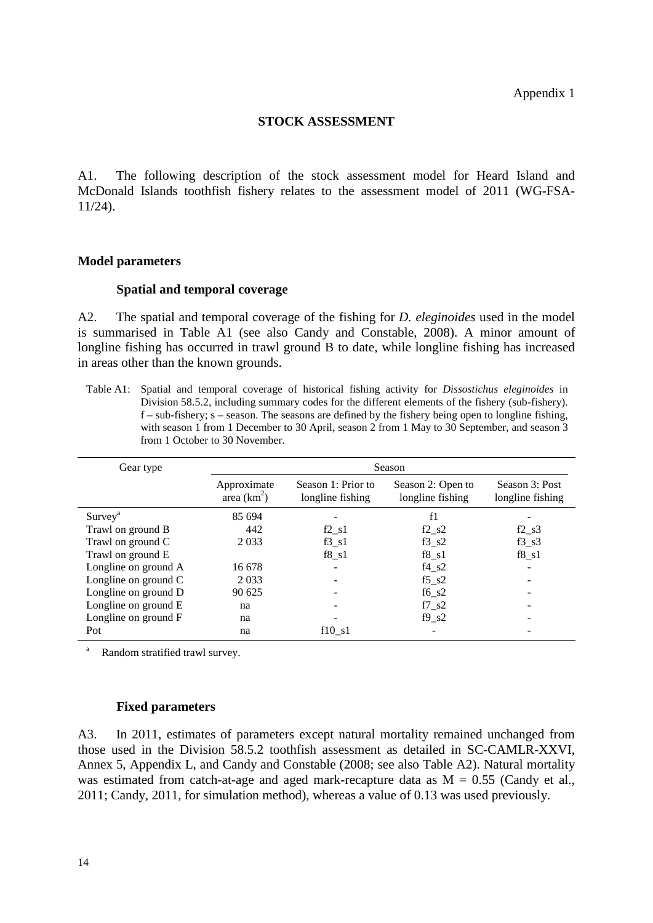### **STOCK ASSESSMENT**

A1. The following description of the stock assessment model for Heard Island and McDonald Islands toothfish fishery relates to the assessment model of 2011 (WG-FSA-11/24).

### **Model parameters**

### **Spatial and temporal coverage**

A2. The spatial and temporal coverage of the fishing for *D. eleginoides* used in the model is summarised in Table A1 (see also Candy and Constable, 2008). A minor amount of longline fishing has occurred in trawl ground B to date, while longline fishing has increased in areas other than the known grounds.

Table A1: Spatial and temporal coverage of historical fishing activity for *Dissostichus eleginoides* in Division 58.5.2, including summary codes for the different elements of the fishery (sub-fishery).  $f - sub-fishery$ ; s – season. The seasons are defined by the fishery being open to longline fishing, with season 1 from 1 December to 30 April, season 2 from 1 May to 30 September, and season 3 from 1 October to 30 November.

| Gear type                       |                              |                                        | Season                                |                                    |
|---------------------------------|------------------------------|----------------------------------------|---------------------------------------|------------------------------------|
|                                 | Approximate<br>area $(km^2)$ | Season 1: Prior to<br>longline fishing | Season 2: Open to<br>longline fishing | Season 3: Post<br>longline fishing |
| Surve <sub>y</sub> <sup>a</sup> | 85 694                       |                                        | f1                                    |                                    |
| Trawl on ground B               | 442                          | $f2_s1$                                | $f2$ <sub>-</sub> $s2$                | $f2$ <sub>-</sub> $s3$             |
| Trawl on ground C               | 2 0 3 3                      | $f3_s1$                                | $f3_82$                               | $f3_s3$                            |
| Trawl on ground E               |                              | $f8_s1$                                | $f8_s1$                               | $f8_s1$                            |
| Longline on ground A            | 16 678                       |                                        | $f4$ <sub>_<math>s2</math></sub>      |                                    |
| Longline on ground C            | 2 0 3 3                      |                                        | $f5$ <sub>_<math>s2</math></sub>      |                                    |
| Longline on ground D            | 90 625                       |                                        | $f6_s2$                               |                                    |
| Longline on ground E            | na                           |                                        | f7s2                                  |                                    |
| Longline on ground F            | na                           |                                        | f9s2                                  |                                    |
| Pot                             | na                           | f10s1                                  |                                       |                                    |

Random stratified trawl survey.

### **Fixed parameters**

A3. In 2011, estimates of parameters except natural mortality remained unchanged from those used in the Division 58.5.2 toothfish assessment as detailed in SC-CAMLR-XXVI, Annex 5, Appendix L, and Candy and Constable (2008; see also Table A2). Natural mortality was estimated from catch-at-age and aged mark-recapture data as  $M = 0.55$  (Candy et al., 2011; Candy, 2011, for simulation method), whereas a value of 0.13 was used previously.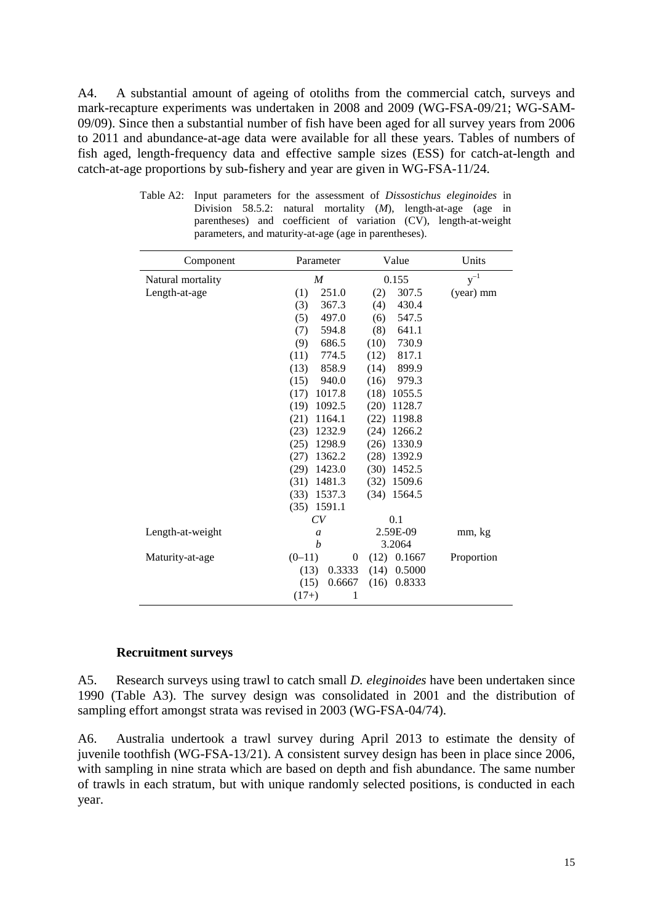A4. A substantial amount of ageing of otoliths from the commercial catch, surveys and mark-recapture experiments was undertaken in 2008 and 2009 (WG-FSA-09/21; WG-SAM-09/09). Since then a substantial number of fish have been aged for all survey years from 2006 to 2011 and abundance-at-age data were available for all these years. Tables of numbers of fish aged, length-frequency data and effective sample sizes (ESS) for catch-at-length and catch-at-age proportions by sub-fishery and year are given in WG-FSA-11/24.

| Component         | Parameter        | Value          | Units      |
|-------------------|------------------|----------------|------------|
| Natural mortality | $\boldsymbol{M}$ | 0.155          | $y^{-1}$   |
| Length-at-age     | (1)<br>251.0     | 307.5<br>(2)   | (year) mm  |
|                   | 367.3<br>(3)     | 430.4<br>(4)   |            |
|                   | 497.0<br>(5)     | 547.5<br>(6)   |            |
|                   | (7)<br>594.8     | 641.1<br>(8)   |            |
|                   | (9)<br>686.5     | (10)<br>730.9  |            |
|                   | 774.5<br>(11)    | 817.1<br>(12)  |            |
|                   | 858.9<br>(13)    | 899.9<br>(14)  |            |
|                   | 940.0<br>(15)    | 979.3<br>(16)  |            |
|                   | (17)<br>1017.8   | (18)<br>1055.5 |            |
|                   | (19)<br>1092.5   | 1128.7<br>(20) |            |
|                   | (21)<br>1164.1   | (22)<br>1198.8 |            |
|                   | 1232.9<br>(23)   | 1266.2<br>(24) |            |
|                   | (25)<br>1298.9   | 1330.9<br>(26) |            |
|                   | 1362.2<br>(27)   | 1392.9<br>(28) |            |
|                   | 1423.0<br>(29)   | 1452.5<br>(30) |            |
|                   | (31)<br>1481.3   | 1509.6<br>(32) |            |
|                   | (33)<br>1537.3   | $(34)$ 1564.5  |            |
|                   | 1591.1<br>(35)   |                |            |
|                   | CV               | 0.1            |            |
| Length-at-weight  | $\mathfrak{a}$   | 2.59E-09       | mm, kg     |
|                   | $\boldsymbol{b}$ | 3.2064         |            |
| Maturity-at-age   | $(0-11)$<br>0    | $(12)$ 0.1667  | Proportion |
|                   | 0.3333<br>(13)   | $(14)$ 0.5000  |            |
|                   | 0.6667<br>(15)   | 0.8333<br>(16) |            |
|                   | $(17+)$<br>1     |                |            |

Table A2: Input parameters for the assessment of *Dissostichus eleginoides* in Division 58.5.2: natural mortality (*M*), length-at-age (age in parentheses) and coefficient of variation (CV), length-at-weight parameters, and maturity-at-age (age in parentheses).

### **Recruitment surveys**

A5. Research surveys using trawl to catch small *D. eleginoides* have been undertaken since 1990 (Table A3). The survey design was consolidated in 2001 and the distribution of sampling effort amongst strata was revised in 2003 (WG-FSA-04/74).

A6. Australia undertook a trawl survey during April 2013 to estimate the density of juvenile toothfish (WG-FSA-13/21). A consistent survey design has been in place since 2006, with sampling in nine strata which are based on depth and fish abundance. The same number of trawls in each stratum, but with unique randomly selected positions, is conducted in each year.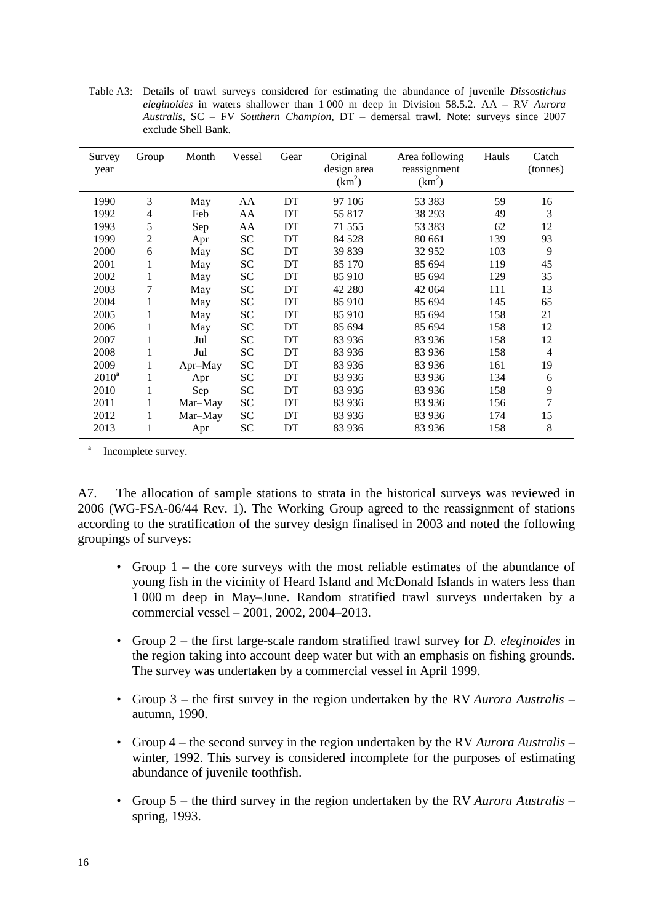| Survey   | Group          | Month   | Vessel    | Gear | Original                          | Area following           | Hauls | Catch          |
|----------|----------------|---------|-----------|------|-----------------------------------|--------------------------|-------|----------------|
| year     |                |         |           |      | design area<br>(km <sup>2</sup> ) | reassignment<br>$(km^2)$ |       | (tonnes)       |
| 1990     | 3              | May     | AA        | DT   | 97 106                            | 53 383                   | 59    | 16             |
| 1992     | 4              | Feb     | AA        | DT   | 55 817                            | 38 293                   | 49    | 3              |
| 1993     | 5              | Sep     | AA        | DT   | 71 555                            | 53 383                   | 62    | 12             |
| 1999     | $\overline{2}$ | Apr     | <b>SC</b> | DT   | 84 5 28                           | 80 661                   | 139   | 93             |
| 2000     | 6              | May     | <b>SC</b> | DT   | 39 839                            | 32952                    | 103   | 9              |
| 2001     | 1              | May     | SC        | DT   | 85 170                            | 85 694                   | 119   | 45             |
| 2002     | $\mathbf{1}$   | May     | SC        | DT   | 85 910                            | 85 694                   | 129   | 35             |
| 2003     | 7              | May     | <b>SC</b> | DT   | 42 280                            | 42 064                   | 111   | 13             |
| 2004     | 1              | May     | SC        | DT   | 85 910                            | 85 694                   | 145   | 65             |
| 2005     | 1              | May     | <b>SC</b> | DT   | 85 910                            | 85 694                   | 158   | 21             |
| 2006     | 1              | May     | <b>SC</b> | DT   | 85 694                            | 85 694                   | 158   | 12             |
| 2007     | 1              | Jul     | SC        | DT   | 83 936                            | 83 936                   | 158   | 12             |
| 2008     | 1              | Jul     | SC        | DT   | 83 936                            | 83 936                   | 158   | $\overline{4}$ |
| 2009     | 1              | Apr-May | SC        | DT   | 83 936                            | 83 936                   | 161   | 19             |
| $2010^a$ | $\mathbf{1}$   | Apr     | <b>SC</b> | DT   | 83 936                            | 83 936                   | 134   | 6              |
| 2010     | 1              | Sep     | <b>SC</b> | DT   | 83 936                            | 83 936                   | 158   | 9              |
| 2011     | 1              | Mar-May | <b>SC</b> | DT   | 83 936                            | 83 936                   | 156   | 7              |
| 2012     | 1              | Mar-May | <b>SC</b> | DT   | 83 936                            | 83 936                   | 174   | 15             |
| 2013     | 1              | Apr     | SC        | DT   | 83 936                            | 83 936                   | 158   | 8              |
|          |                |         |           |      |                                   |                          |       |                |

Table A3: Details of trawl surveys considered for estimating the abundance of juvenile *Dissostichus eleginoides* in waters shallower than 1 000 m deep in Division 58.5.2. AA – RV *Aurora Australis*, SC – FV *Southern Champion*, DT – demersal trawl. Note: surveys since 2007 exclude Shell Bank.

Incomplete survey.

A7. The allocation of sample stations to strata in the historical surveys was reviewed in 2006 (WG-FSA-06/44 Rev. 1). The Working Group agreed to the reassignment of stations according to the stratification of the survey design finalised in 2003 and noted the following groupings of surveys:

- Group 1 the core surveys with the most reliable estimates of the abundance of young fish in the vicinity of Heard Island and McDonald Islands in waters less than 1 000 m deep in May–June. Random stratified trawl surveys undertaken by a commercial vessel – 2001, 2002, 2004–2013.
- Group 2 the first large-scale random stratified trawl survey for *D. eleginoides* in the region taking into account deep water but with an emphasis on fishing grounds. The survey was undertaken by a commercial vessel in April 1999.
- Group 3 the first survey in the region undertaken by the RV *Aurora Australis* autumn, 1990.
- Group 4 the second survey in the region undertaken by the RV *Aurora Australis* winter, 1992. This survey is considered incomplete for the purposes of estimating abundance of juvenile toothfish.
- Group 5 the third survey in the region undertaken by the RV *Aurora Australis* spring, 1993.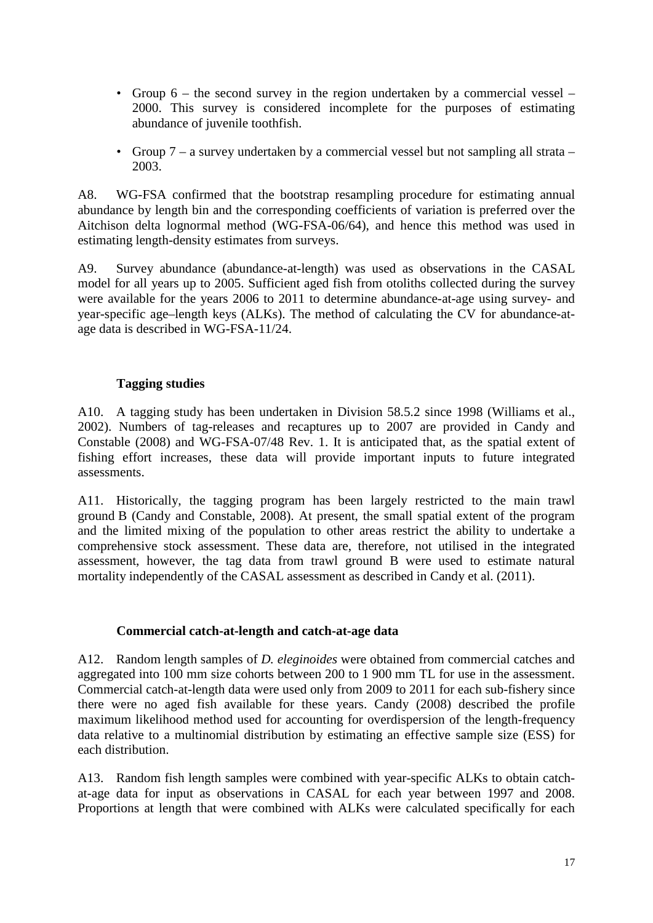- Group 6 the second survey in the region undertaken by a commercial vessel 2000. This survey is considered incomplete for the purposes of estimating abundance of juvenile toothfish.
- Group 7 a survey undertaken by a commercial vessel but not sampling all strata 2003.

A8. WG-FSA confirmed that the bootstrap resampling procedure for estimating annual abundance by length bin and the corresponding coefficients of variation is preferred over the Aitchison delta lognormal method (WG-FSA-06/64), and hence this method was used in estimating length-density estimates from surveys.

A9. Survey abundance (abundance-at-length) was used as observations in the CASAL model for all years up to 2005. Sufficient aged fish from otoliths collected during the survey were available for the years 2006 to 2011 to determine abundance-at-age using survey- and year-specific age–length keys (ALKs). The method of calculating the CV for abundance-atage data is described in WG-FSA-11/24.

# **Tagging studies**

A10. A tagging study has been undertaken in Division 58.5.2 since 1998 (Williams et al., 2002). Numbers of tag-releases and recaptures up to 2007 are provided in Candy and Constable (2008) and WG-FSA-07/48 Rev. 1. It is anticipated that, as the spatial extent of fishing effort increases, these data will provide important inputs to future integrated assessments.

A11. Historically, the tagging program has been largely restricted to the main trawl ground B (Candy and Constable, 2008). At present, the small spatial extent of the program and the limited mixing of the population to other areas restrict the ability to undertake a comprehensive stock assessment. These data are, therefore, not utilised in the integrated assessment, however, the tag data from trawl ground B were used to estimate natural mortality independently of the CASAL assessment as described in Candy et al. (2011).

# **Commercial catch-at-length and catch-at-age data**

A12. Random length samples of *D. eleginoides* were obtained from commercial catches and aggregated into 100 mm size cohorts between 200 to 1 900 mm TL for use in the assessment. Commercial catch-at-length data were used only from 2009 to 2011 for each sub-fishery since there were no aged fish available for these years. Candy (2008) described the profile maximum likelihood method used for accounting for overdispersion of the length-frequency data relative to a multinomial distribution by estimating an effective sample size (ESS) for each distribution.

A13. Random fish length samples were combined with year-specific ALKs to obtain catchat-age data for input as observations in CASAL for each year between 1997 and 2008. Proportions at length that were combined with ALKs were calculated specifically for each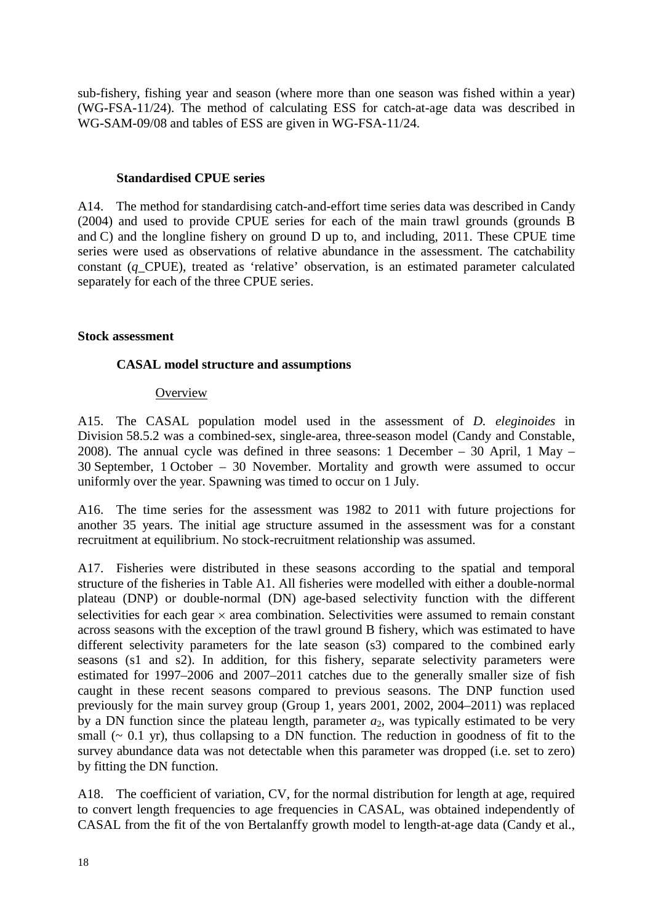sub-fishery, fishing year and season (where more than one season was fished within a year) (WG-FSA-11/24). The method of calculating ESS for catch-at-age data was described in WG-SAM-09/08 and tables of ESS are given in WG-FSA-11/24.

### **Standardised CPUE series**

A14. The method for standardising catch-and-effort time series data was described in Candy (2004) and used to provide CPUE series for each of the main trawl grounds (grounds B and C) and the longline fishery on ground D up to, and including, 2011. These CPUE time series were used as observations of relative abundance in the assessment. The catchability constant (*q*\_CPUE), treated as 'relative' observation, is an estimated parameter calculated separately for each of the three CPUE series.

## **Stock assessment**

# **CASAL model structure and assumptions**

### **Overview**

A15. The CASAL population model used in the assessment of *D. eleginoides* in Division 58.5.2 was a combined-sex, single-area, three-season model (Candy and Constable, 2008). The annual cycle was defined in three seasons: 1 December – 30 April, 1 May – 30 September, 1 October – 30 November. Mortality and growth were assumed to occur uniformly over the year. Spawning was timed to occur on 1 July.

A16. The time series for the assessment was 1982 to 2011 with future projections for another 35 years. The initial age structure assumed in the assessment was for a constant recruitment at equilibrium. No stock-recruitment relationship was assumed.

A17. Fisheries were distributed in these seasons according to the spatial and temporal structure of the fisheries in Table A1. All fisheries were modelled with either a double-normal plateau (DNP) or double-normal (DN) age-based selectivity function with the different selectivities for each gear  $\times$  area combination. Selectivities were assumed to remain constant across seasons with the exception of the trawl ground B fishery, which was estimated to have different selectivity parameters for the late season (s3) compared to the combined early seasons (s1 and s2). In addition, for this fishery, separate selectivity parameters were estimated for 1997–2006 and 2007–2011 catches due to the generally smaller size of fish caught in these recent seasons compared to previous seasons. The DNP function used previously for the main survey group (Group 1, years 2001, 2002, 2004–2011) was replaced by a DN function since the plateau length, parameter  $a_2$ , was typically estimated to be very small  $($   $\sim$  0.1 yr), thus collapsing to a DN function. The reduction in goodness of fit to the survey abundance data was not detectable when this parameter was dropped (i.e. set to zero) by fitting the DN function.

A18. The coefficient of variation, CV, for the normal distribution for length at age, required to convert length frequencies to age frequencies in CASAL, was obtained independently of CASAL from the fit of the von Bertalanffy growth model to length-at-age data (Candy et al.,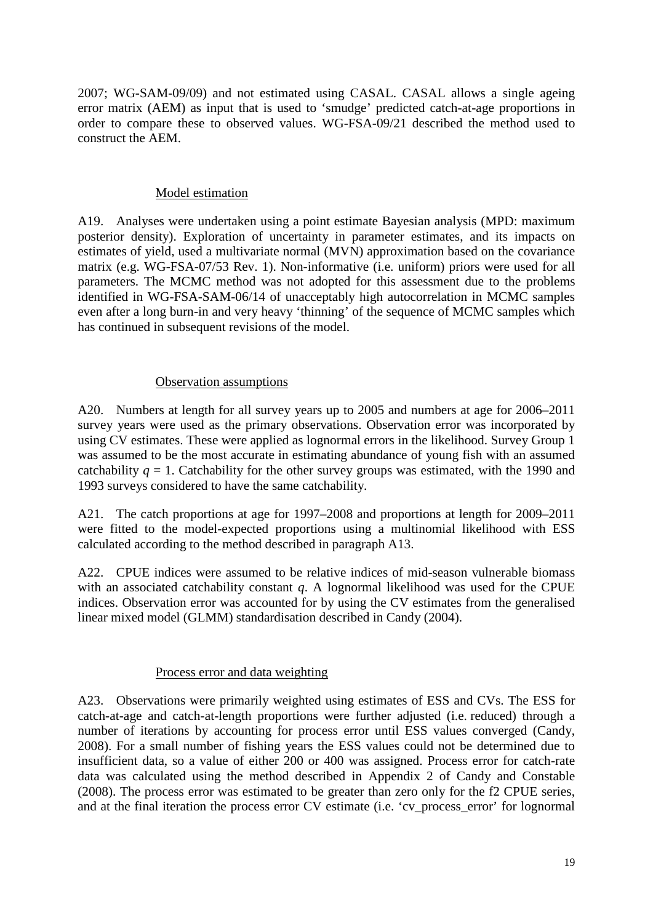2007; WG-SAM-09/09) and not estimated using CASAL. CASAL allows a single ageing error matrix (AEM) as input that is used to 'smudge' predicted catch-at-age proportions in order to compare these to observed values. WG-FSA-09/21 described the method used to construct the AEM.

## Model estimation

A19. Analyses were undertaken using a point estimate Bayesian analysis (MPD: maximum posterior density). Exploration of uncertainty in parameter estimates, and its impacts on estimates of yield, used a multivariate normal (MVN) approximation based on the covariance matrix (e.g. WG-FSA-07/53 Rev. 1). Non-informative (i.e. uniform) priors were used for all parameters. The MCMC method was not adopted for this assessment due to the problems identified in WG-FSA-SAM-06/14 of unacceptably high autocorrelation in MCMC samples even after a long burn-in and very heavy 'thinning' of the sequence of MCMC samples which has continued in subsequent revisions of the model.

# Observation assumptions

A20. Numbers at length for all survey years up to 2005 and numbers at age for 2006–2011 survey years were used as the primary observations. Observation error was incorporated by using CV estimates. These were applied as lognormal errors in the likelihood. Survey Group 1 was assumed to be the most accurate in estimating abundance of young fish with an assumed catchability  $q = 1$ . Catchability for the other survey groups was estimated, with the 1990 and 1993 surveys considered to have the same catchability.

A21. The catch proportions at age for 1997–2008 and proportions at length for 2009–2011 were fitted to the model-expected proportions using a multinomial likelihood with ESS calculated according to the method described in paragraph A13.

A22. CPUE indices were assumed to be relative indices of mid-season vulnerable biomass with an associated catchability constant *q*. A lognormal likelihood was used for the CPUE indices. Observation error was accounted for by using the CV estimates from the generalised linear mixed model (GLMM) standardisation described in Candy (2004).

# Process error and data weighting

A23. Observations were primarily weighted using estimates of ESS and CVs. The ESS for catch-at-age and catch-at-length proportions were further adjusted (i.e. reduced) through a number of iterations by accounting for process error until ESS values converged (Candy, 2008). For a small number of fishing years the ESS values could not be determined due to insufficient data, so a value of either 200 or 400 was assigned. Process error for catch-rate data was calculated using the method described in Appendix 2 of Candy and Constable (2008). The process error was estimated to be greater than zero only for the f2 CPUE series, and at the final iteration the process error CV estimate (i.e. 'cv\_process\_error' for lognormal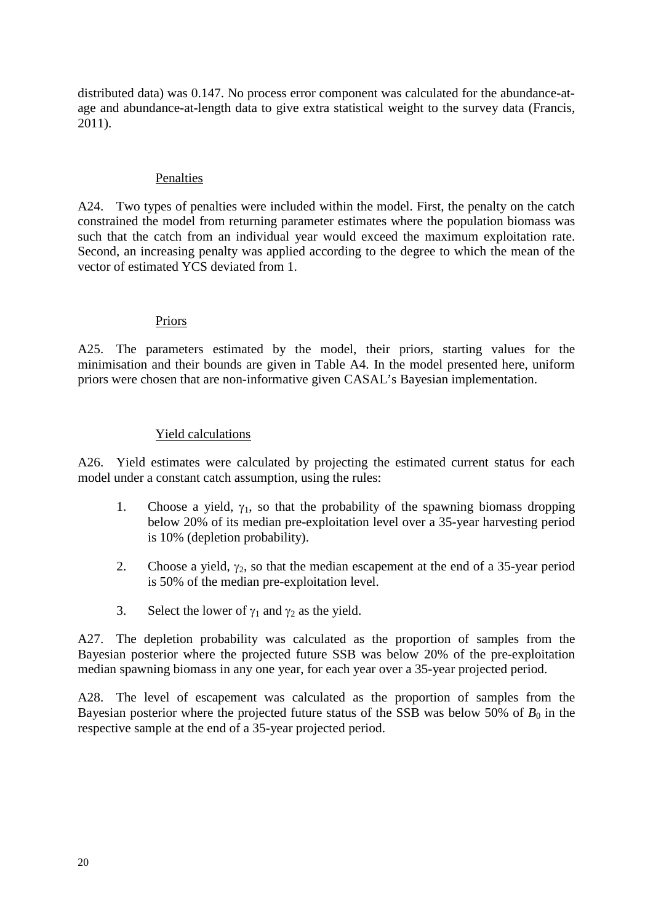distributed data) was 0.147. No process error component was calculated for the abundance-atage and abundance-at-length data to give extra statistical weight to the survey data (Francis, 2011).

## Penalties

A24. Two types of penalties were included within the model. First, the penalty on the catch constrained the model from returning parameter estimates where the population biomass was such that the catch from an individual year would exceed the maximum exploitation rate. Second, an increasing penalty was applied according to the degree to which the mean of the vector of estimated YCS deviated from 1.

## Priors

A25. The parameters estimated by the model, their priors, starting values for the minimisation and their bounds are given in Table A4. In the model presented here, uniform priors were chosen that are non-informative given CASAL's Bayesian implementation.

## Yield calculations

A26. Yield estimates were calculated by projecting the estimated current status for each model under a constant catch assumption, using the rules:

- 1. Choose a yield,  $\gamma_1$ , so that the probability of the spawning biomass dropping below 20% of its median pre-exploitation level over a 35-year harvesting period is 10% (depletion probability).
- 2. Choose a yield,  $\gamma_2$ , so that the median escapement at the end of a 35-year period is 50% of the median pre-exploitation level.
- 3. Select the lower of  $\gamma_1$  and  $\gamma_2$  as the yield.

A27. The depletion probability was calculated as the proportion of samples from the Bayesian posterior where the projected future SSB was below 20% of the pre-exploitation median spawning biomass in any one year, for each year over a 35-year projected period.

A28. The level of escapement was calculated as the proportion of samples from the Bayesian posterior where the projected future status of the SSB was below 50% of  $B_0$  in the respective sample at the end of a 35-year projected period.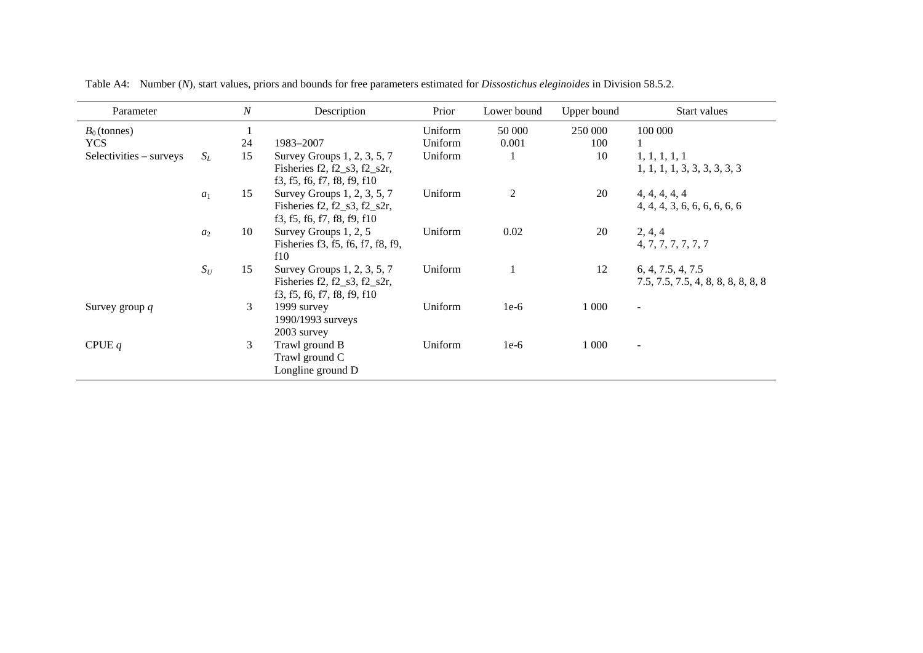| Parameter               |       | $\boldsymbol{N}$ | Description                                                    | Prior   | Lower bound    | Upper bound | Start values                                  |
|-------------------------|-------|------------------|----------------------------------------------------------------|---------|----------------|-------------|-----------------------------------------------|
| $B_0$ (tonnes)          |       |                  |                                                                | Uniform | 50 000         | 250 000     | 100 000                                       |
| <b>YCS</b>              |       | 24               | 1983-2007                                                      | Uniform | 0.001          | 100         |                                               |
| Selectivities – surveys | $S_L$ | 15               | Survey Groups 1, 2, 3, 5, 7<br>Fisheries f2, f2_s3, f2_s2r,    | Uniform |                | 10          | 1, 1, 1, 1, 1<br>1, 1, 1, 1, 3, 3, 3, 3, 3, 3 |
|                         |       |                  | f3, f5, f6, f7, f8, f9, f10                                    |         |                |             |                                               |
|                         | $a_1$ | 15               | Survey Groups 1, 2, 3, 5, 7                                    | Uniform | $\mathfrak{2}$ | 20          | 4, 4, 4, 4, 4                                 |
|                         |       |                  | Fisheries f2, f2_s3, f2_s2r,<br>f3, f5, f6, f7, f8, f9, f10    |         |                |             | 4, 4, 4, 3, 6, 6, 6, 6, 6, 6                  |
|                         | $a_2$ | 10               | Survey Groups 1, 2, 5                                          | Uniform | 0.02           | 20          | 2, 4, 4                                       |
|                         |       |                  | Fisheries f3, f5, f6, f7, f8, f9,<br>f10                       |         |                |             | 4, 7, 7, 7, 7, 7, 7                           |
|                         | $S_U$ | 15               | Survey Groups 1, 2, 3, 5, 7                                    | Uniform |                | 12          | 6, 4, 7.5, 4, 7.5                             |
|                         |       |                  | Fisheries $f2, f2_s3, f2_s2r$ ,<br>f3, f5, f6, f7, f8, f9, f10 |         |                |             | 7.5, 7.5, 7.5, 4, 8, 8, 8, 8, 8, 8            |
| Survey group $q$        |       | 3                | 1999 survey<br>1990/1993 surveys                               | Uniform | $1e-6$         | 1 0 0 0     | $\blacksquare$                                |
|                         |       |                  | 2003 survey                                                    |         |                |             |                                               |
| CPUE $q$                |       | 3                | Trawl ground B<br>Trawl ground C<br>Longline ground D          | Uniform | $1e-6$         | 1 0 0 0     | $\overline{\phantom{a}}$                      |

Table A4: Number (*N*), start values, priors and bounds for free parameters estimated for *Dissostichus eleginoides* in Division 58.5.2.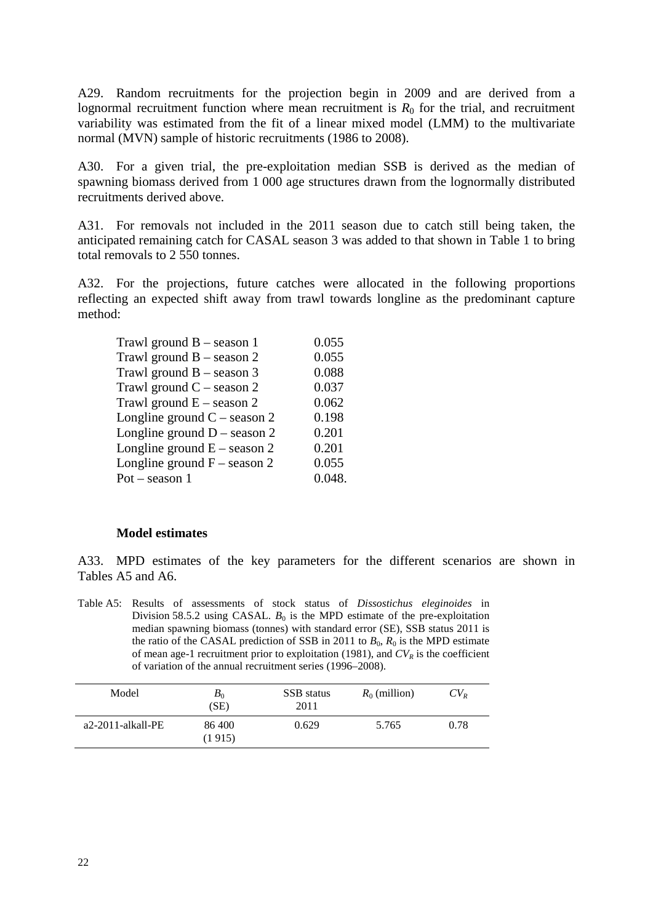A29. Random recruitments for the projection begin in 2009 and are derived from a lognormal recruitment function where mean recruitment is  $R_0$  for the trial, and recruitment variability was estimated from the fit of a linear mixed model (LMM) to the multivariate normal (MVN) sample of historic recruitments (1986 to 2008).

A30. For a given trial, the pre-exploitation median SSB is derived as the median of spawning biomass derived from 1 000 age structures drawn from the lognormally distributed recruitments derived above.

A31. For removals not included in the 2011 season due to catch still being taken, the anticipated remaining catch for CASAL season 3 was added to that shown in Table 1 to bring total removals to 2 550 tonnes.

A32. For the projections, future catches were allocated in the following proportions reflecting an expected shift away from trawl towards longline as the predominant capture method:

| Trawl ground $B -$ season 1    | 0.055  |
|--------------------------------|--------|
| Trawl ground $B -$ season 2    | 0.055  |
| Trawl ground $B -$ season 3    | 0.088  |
| Trawl ground $C$ – season 2    | 0.037  |
| Trawl ground $E -$ season 2    | 0.062  |
| Longline ground $C$ – season 2 | 0.198  |
| Longline ground $D$ – season 2 | 0.201  |
| Longline ground $E -$ season 2 | 0.201  |
| Longline ground $F$ – season 2 | 0.055  |
| $Pot - season 1$               | 0.048. |
|                                |        |

### **Model estimates**

A33. MPD estimates of the key parameters for the different scenarios are shown in Tables A5 and A6.

Table A5: Results of assessments of stock status of *Dissostichus eleginoides* in Division 58.5.2 using CASAL.  $B_0$  is the MPD estimate of the pre-exploitation median spawning biomass (tonnes) with standard error (SE), SSB status 2011 is the ratio of the CASAL prediction of SSB in 2011 to  $B_0$ ,  $R_0$  is the MPD estimate of mean age-1 recruitment prior to exploitation (1981), and  $CV_R$  is the coefficient of variation of the annual recruitment series (1996–2008).

| Model                | $B_0$<br>(SE)    | SSB status<br>2011 | $R_0$ (million) | $CV_{R}$ |
|----------------------|------------------|--------------------|-----------------|----------|
| $a2-2011$ -alkall-PE | 86 400<br>(1915) | 0.629              | 5.765           | 0.78     |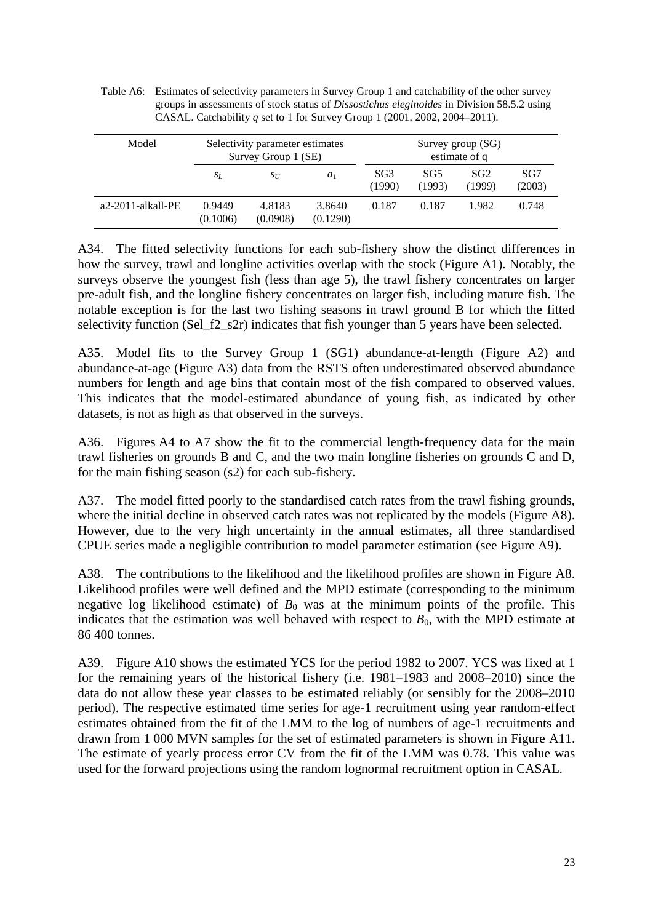|       | CASAL. Catchability q set to 1 for Survey Group 1 (2001, 2002, 2004–2011). |                                                        |       |                           |                                      |                           |               |
|-------|----------------------------------------------------------------------------|--------------------------------------------------------|-------|---------------------------|--------------------------------------|---------------------------|---------------|
| Model |                                                                            | Selectivity parameter estimates<br>Survey Group 1 (SE) |       |                           | Survey group $(SG)$<br>estimate of q |                           |               |
|       | $S_L$                                                                      | $S_{II}$                                               | $a_1$ | SG <sub>3</sub><br>(1990) | SG5<br>(1993)                        | SG <sub>2</sub><br>(1999) | SG7<br>(2003) |

3.8640 (0.1290) 0.187 0.187 1.982 0.748

a2-2011-alkall-PE 0.9449

(0.1006)

4.8183 (0.0908)

Table A6: Estimates of selectivity parameters in Survey Group 1 and catchability of the other survey groups in assessments of stock status of *Dissostichus eleginoides* in Division 58.5.2 using

A34. The fitted selectivity functions for each sub-fishery show the distinct differences in how the survey, trawl and longline activities overlap with the stock (Figure A1). Notably, the surveys observe the youngest fish (less than age 5), the trawl fishery concentrates on larger pre-adult fish, and the longline fishery concentrates on larger fish, including mature fish. The notable exception is for the last two fishing seasons in trawl ground B for which the fitted selectivity function (Sel\_f2\_s2r) indicates that fish younger than 5 years have been selected.

A35. Model fits to the Survey Group 1 (SG1) abundance-at-length (Figure A2) and abundance-at-age (Figure A3) data from the RSTS often underestimated observed abundance numbers for length and age bins that contain most of the fish compared to observed values. This indicates that the model-estimated abundance of young fish, as indicated by other datasets, is not as high as that observed in the surveys.

A36. Figures A4 to A7 show the fit to the commercial length-frequency data for the main trawl fisheries on grounds B and C, and the two main longline fisheries on grounds C and D, for the main fishing season (s2) for each sub-fishery.

A37. The model fitted poorly to the standardised catch rates from the trawl fishing grounds, where the initial decline in observed catch rates was not replicated by the models (Figure A8). However, due to the very high uncertainty in the annual estimates, all three standardised CPUE series made a negligible contribution to model parameter estimation (see Figure A9).

A38. The contributions to the likelihood and the likelihood profiles are shown in Figure A8. Likelihood profiles were well defined and the MPD estimate (corresponding to the minimum negative log likelihood estimate) of  $B_0$  was at the minimum points of the profile. This indicates that the estimation was well behaved with respect to  $B<sub>0</sub>$ , with the MPD estimate at 86 400 tonnes.

A39. Figure A10 shows the estimated YCS for the period 1982 to 2007. YCS was fixed at 1 for the remaining years of the historical fishery (i.e. 1981–1983 and 2008–2010) since the data do not allow these year classes to be estimated reliably (or sensibly for the 2008–2010 period). The respective estimated time series for age-1 recruitment using year random-effect estimates obtained from the fit of the LMM to the log of numbers of age-1 recruitments and drawn from 1 000 MVN samples for the set of estimated parameters is shown in Figure A11. The estimate of yearly process error CV from the fit of the LMM was 0.78. This value was used for the forward projections using the random lognormal recruitment option in CASAL.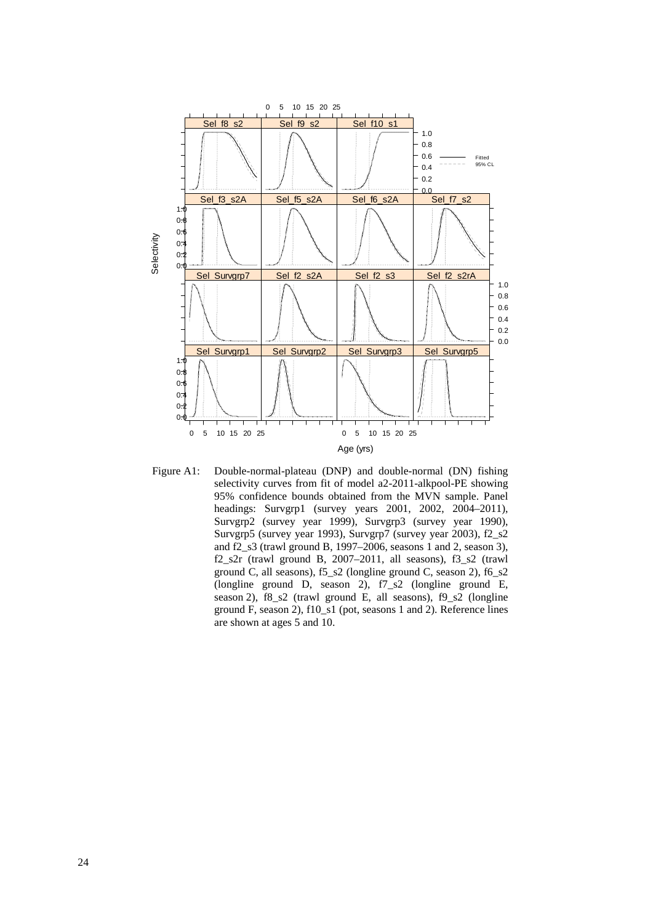

Figure A1: Double-normal-plateau (DNP) and double-normal (DN) fishing selectivity curves from fit of model a2-2011-alkpool-PE showing 95% confidence bounds obtained from the MVN sample. Panel headings: Survgrp1 (survey years 2001, 2002, 2004–2011), Survgrp2 (survey year 1999), Survgrp3 (survey year 1990), Survgrp5 (survey year 1993), Survgrp7 (survey year 2003), f2\_s2 and f2\_s3 (trawl ground B, 1997–2006, seasons 1 and 2, season 3), f2\_s2r (trawl ground B, 2007–2011, all seasons), f3\_s2 (trawl ground C, all seasons), f5\_s2 (longline ground C, season 2), f6\_s2 (longline ground D, season 2), f7\_s2 (longline ground E, season 2), f8\_s2 (trawl ground E, all seasons), f9\_s2 (longline ground F, season 2), f10\_s1 (pot, seasons 1 and 2). Reference lines are shown at ages 5 and 10.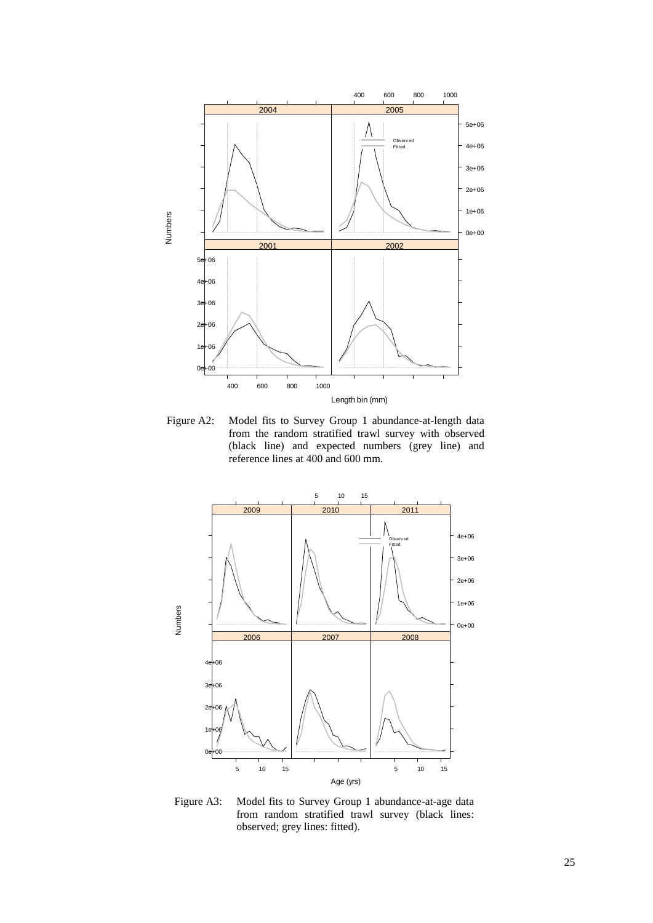

Figure A2: Model fits to Survey Group 1 abundance-at-length data from the random stratified trawl survey with observed (black line) and expected numbers (grey line) and reference lines at 400 and 600 mm.



Figure A3: Model fits to Survey Group 1 abundance-at-age data from random stratified trawl survey (black lines: observed; grey lines: fitted).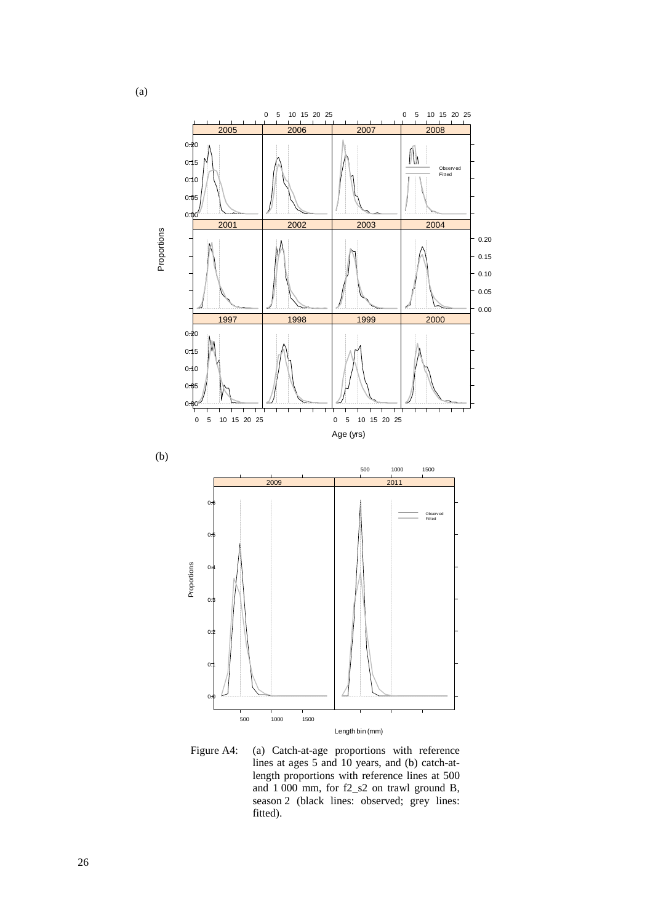

Figure A4: (a) Catch-at-age proportions with reference lines at ages 5 and 10 years, and (b) catch-atlength proportions with reference lines at 500 and 1 000 mm, for f2\_s2 on trawl ground B, season 2 (black lines: observed; grey lines: fitted).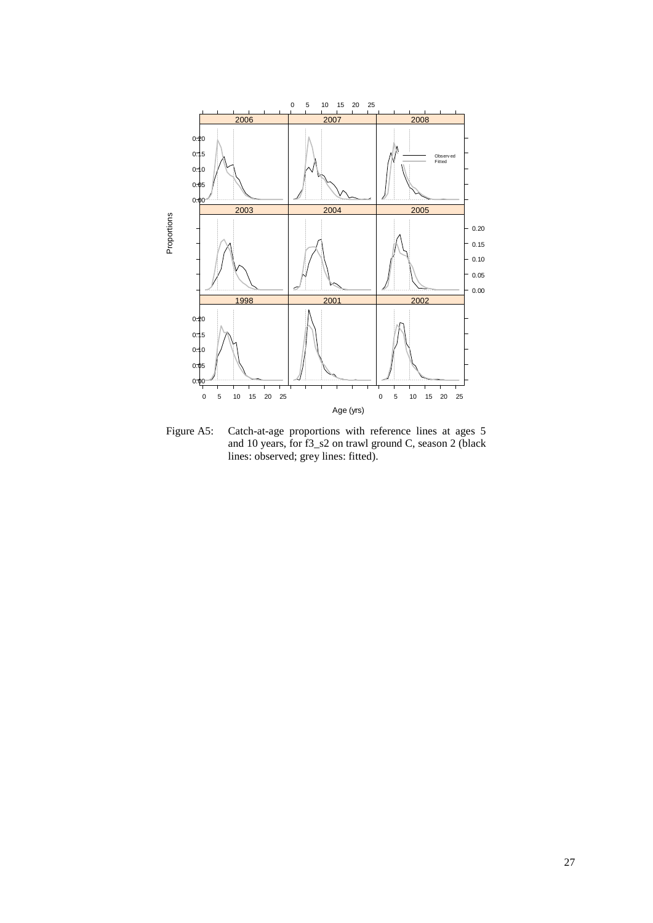

Figure A5: Catch-at-age proportions with reference lines at ages 5 and 10 years, for f3\_s2 on trawl ground C, season 2 (black lines: observed; grey lines: fitted).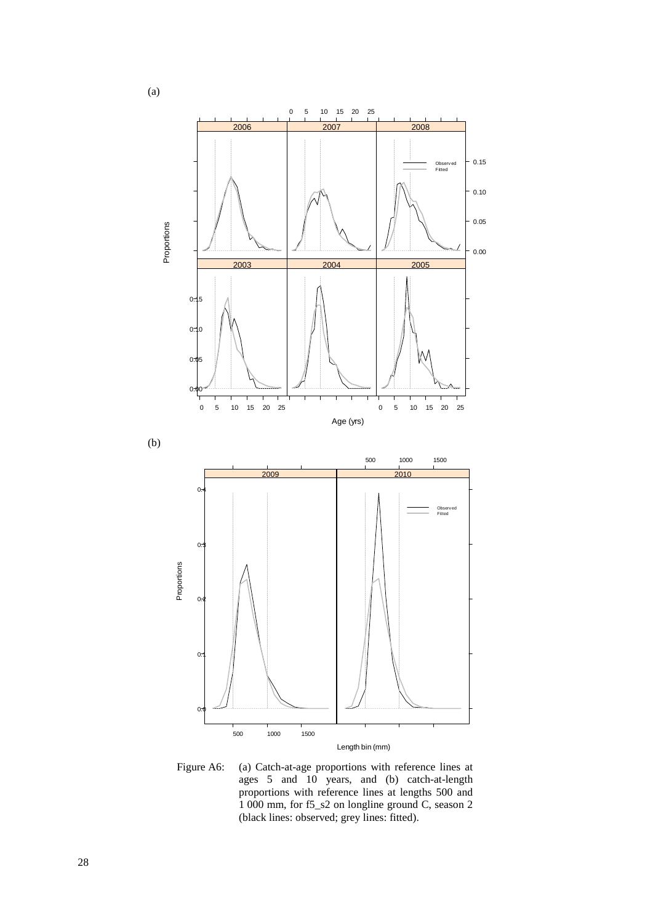

Figure A6: (a) Catch-at-age proportions with reference lines at ages 5 and 10 years, and (b) catch-at-length proportions with reference lines at lengths 500 and 1 000 mm, for f5\_s2 on longline ground C, season 2 (black lines: observed; grey lines: fitted).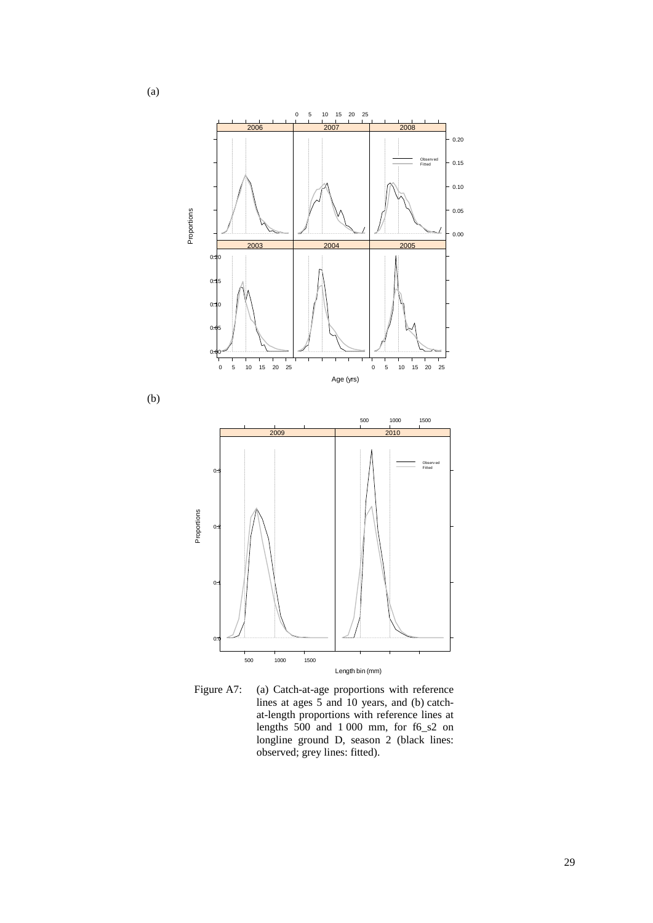



(a)

(b)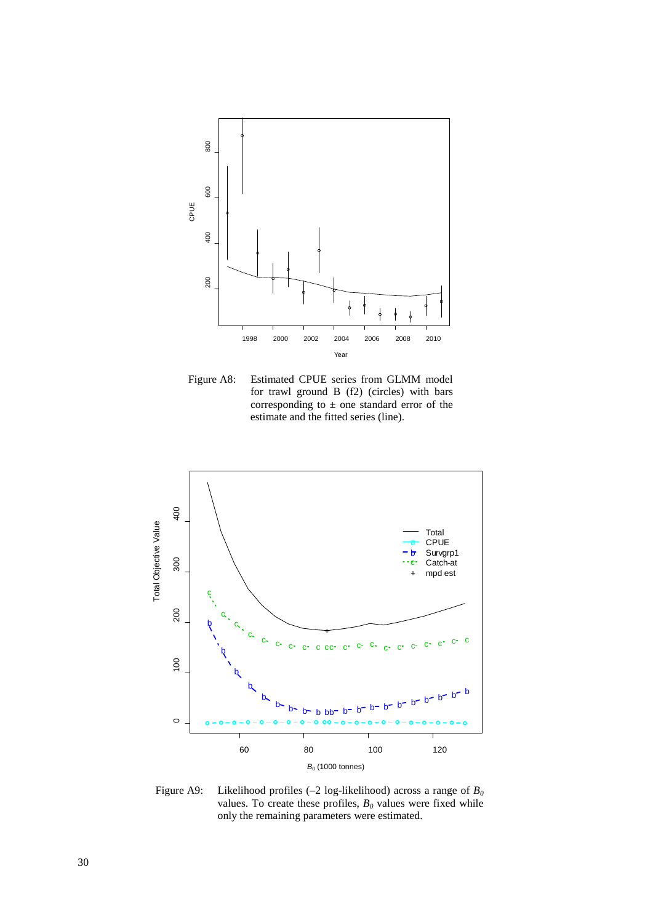

Figure A8: Estimated CPUE series from GLMM model for trawl ground B (f2) (circles) with bars corresponding to  $\pm$  one standard error of the estimate and the fitted series (line).



Figure A9: Likelihood profiles  $(-2 \log-1)$ ikelihood) across a range of  $B_0$ values. To create these profiles,  $B_0$  values were fixed while only the remaining parameters were estimated.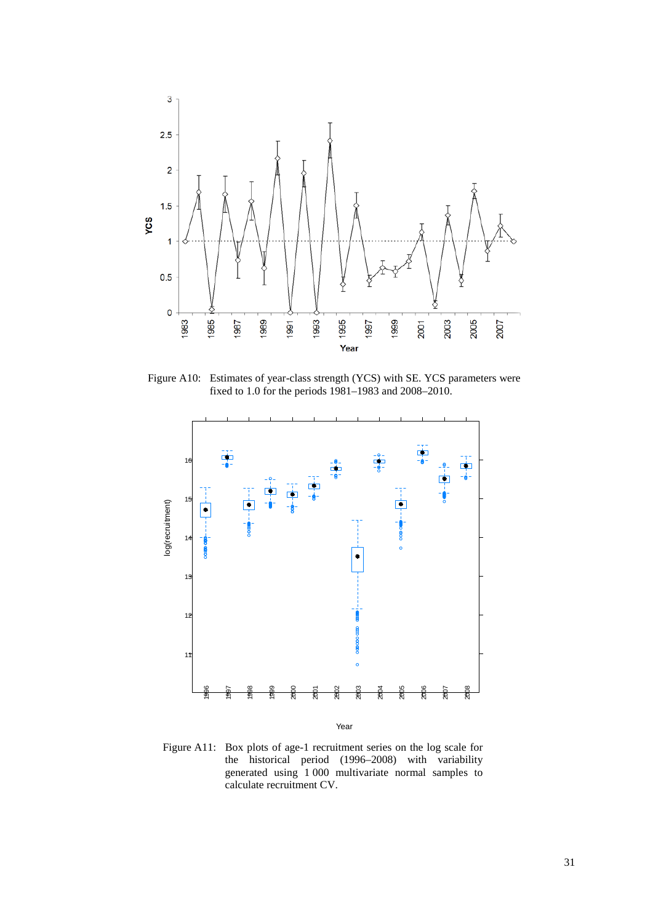

Figure A10: Estimates of year-class strength (YCS) with SE. YCS parameters were fixed to 1.0 for the periods 1981–1983 and 2008–2010.



Figure A11: Box plots of age-1 recruitment series on the log scale for the historical period (1996–2008) with variability generated using 1 000 multivariate normal samples to calculate recruitment CV.